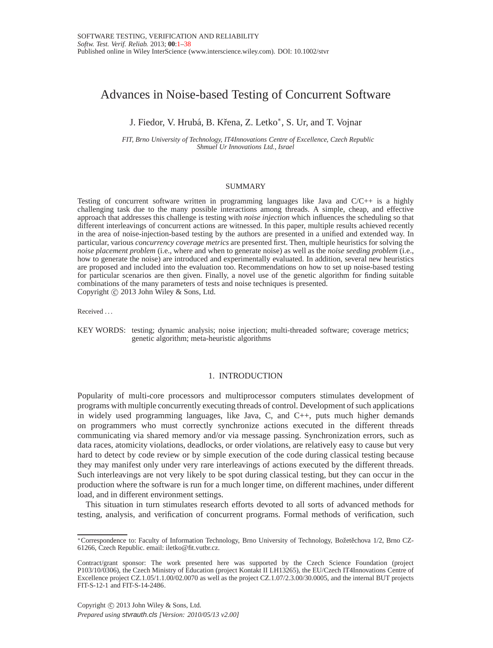# Advances in Noise-based Testing of Concurrent Software

J. Fiedor, V. Hrubá, B. Křena, Z. Letko\*, S. Ur, and T. Vojnar

*FIT, Brno University of Technology, IT4Innovations Centre of Excellence, Czech Republic Shmuel Ur Innovations Ltd., Israel*

# SUMMARY

Testing of concurrent software written in programming languages like Java and  $C/C++$  is a highly challenging task due to the many possible interactions among threads. A simple, cheap, and effective approach that addresses this challenge is testing with *noise injection* which influences the scheduling so that different interleavings of concurrent actions are witnessed. In this paper, multiple results achieved recently in the area of noise-injection-based testing by the authors are presented in a unified and extended way. In particular, various *concurrency coverage metrics* are presented first. Then, multiple heuristics for solving the *noise placement problem* (i.e., where and when to generate noise) as well as the *noise seeding problem* (i.e., how to generate the noise) are introduced and experimentally evaluated. In addition, several new heuristics are proposed and included into the evaluation too. Recommendations on how to set up noise-based testing for particular scenarios are then given. Finally, a novel use of the genetic algorithm for finding suitable combinations of the many parameters of tests and noise techniques is presented. Copyright  $\odot$  2013 John Wiley & Sons, Ltd.

Received . . .

KEY WORDS: testing; dynamic analysis; noise injection; multi-threaded software; coverage metrics; genetic algorithm; meta-heuristic algorithms

# 1. INTRODUCTION

Popularity of multi-core processors and multiprocessor computers stimulates development of programs with multiple concurrently executing threads of control. Development of such applications in widely used programming languages, like Java, C, and C++, puts much higher demands on programmers who must correctly synchronize actions executed in the different threads communicating via shared memory and/or via message passing. Synchronization errors, such as data races, atomicity violations, deadlocks, or order violations, are relatively easy to cause but very hard to detect by code review or by simple execution of the code during classical testing because they may manifest only under very rare interleavings of actions executed by the different threads. Such interleavings are not very likely to be spot during classical testing, but they can occur in the production where the software is run for a much longer time, on different machines, under different load, and in different environment settings.

This situation in turn stimulates research efforts devoted to all sorts of advanced methods for testing, analysis, and verification of concurrent programs. Formal methods of verification, such

<sup>\*</sup>Correspondence to: Faculty of Information Technology, Brno University of Technology, Božetěchova 1/2, Brno CZ-61266, Czech Republic. email: iletko@fit.vutbr.cz.

Contract/grant sponsor: The work presented here was supported by the Czech Science Foundation (project P103/10/0306), the Czech Ministry of Education (project Kontakt II LH13265), the EU/Czech IT4Innovations Centre of Excellence project CZ.1.05/1.1.00/02.0070 as well as the project CZ.1.07/2.3.00/30.0005, and the internal BUT projects FIT-S-12-1 and FIT-S-14-2486.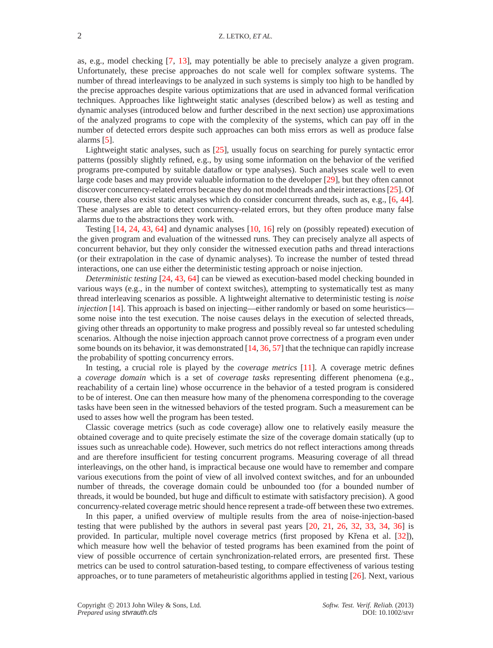as, e.g., model checking [\[7,](#page-35-0) [13\]](#page-36-0), may potentially be able to precisely analyze a given program. Unfortunately, these precise approaches do not scale well for complex software systems. The number of thread interleavings to be analyzed in such systems is simply too high to be handled by the precise approaches despite various optimizations that are used in advanced formal verification techniques. Approaches like lightweight static analyses (described below) as well as testing and dynamic analyses (introduced below and further described in the next section) use approximations of the analyzed programs to cope with the complexity of the systems, which can pay off in the number of detected errors despite such approaches can both miss errors as well as produce false alarms [\[5\]](#page-35-1).

Lightweight static analyses, such as [\[25\]](#page-36-1), usually focus on searching for purely syntactic error patterns (possibly slightly refined, e.g., by using some information on the behavior of the verified programs pre-computed by suitable dataflow or type analyses). Such analyses scale well to even large code bases and may provide valuable information to the developer [\[29\]](#page-36-2), but they often cannot discover concurrency-related errors because they do not model threads and their interactions [\[25\]](#page-36-1). Of course, there also exist static analyses which do consider concurrent threads, such as, e.g., [\[6,](#page-35-2) [44\]](#page-36-3). These analyses are able to detect concurrency-related errors, but they often produce many false alarms due to the abstractions they work with.

Testing [\[14,](#page-36-4) [24,](#page-36-5) [43,](#page-36-6) [64\]](#page-37-0) and dynamic analyses [\[10,](#page-36-7) [16\]](#page-36-8) rely on (possibly repeated) execution of the given program and evaluation of the witnessed runs. They can precisely analyze all aspects of concurrent behavior, but they only consider the witnessed execution paths and thread interactions (or their extrapolation in the case of dynamic analyses). To increase the number of tested thread interactions, one can use either the deterministic testing approach or noise injection.

*Deterministic testing* [\[24,](#page-36-5) [43,](#page-36-6) [64\]](#page-37-0) can be viewed as execution-based model checking bounded in various ways (e.g., in the number of context switches), attempting to systematically test as many thread interleaving scenarios as possible. A lightweight alternative to deterministic testing is *noise injection* [\[14\]](#page-36-4). This approach is based on injecting—either randomly or based on some heuristics some noise into the test execution. The noise causes delays in the execution of selected threads, giving other threads an opportunity to make progress and possibly reveal so far untested scheduling scenarios. Although the noise injection approach cannot prove correctness of a program even under some bounds on its behavior, it was demonstrated [\[14,](#page-36-4) [36,](#page-36-9) [57\]](#page-37-1) that the technique can rapidly increase the probability of spotting concurrency errors.

In testing, a crucial role is played by the *coverage metrics* [\[11\]](#page-36-10). A coverage metric defines a *coverage domain* which is a set of *coverage tasks* representing different phenomena (e.g., reachability of a certain line) whose occurrence in the behavior of a tested program is considered to be of interest. One can then measure how many of the phenomena corresponding to the coverage tasks have been seen in the witnessed behaviors of the tested program. Such a measurement can be used to asses how well the program has been tested.

Classic coverage metrics (such as code coverage) allow one to relatively easily measure the obtained coverage and to quite precisely estimate the size of the coverage domain statically (up to issues such as unreachable code). However, such metrics do not reflect interactions among threads and are therefore insufficient for testing concurrent programs. Measuring coverage of all thread interleavings, on the other hand, is impractical because one would have to remember and compare various executions from the point of view of all involved context switches, and for an unbounded number of threads, the coverage domain could be unbounded too (for a bounded number of threads, it would be bounded, but huge and difficult to estimate with satisfactory precision). A good concurrency-related coverage metric should hence represent a trade-off between these two extremes.

In this paper, a unified overview of multiple results from the area of noise-injection-based testing that were published by the authors in several past years [\[20,](#page-36-11) [21,](#page-36-12) [26,](#page-36-13) [32,](#page-36-14) [33,](#page-36-15) [34,](#page-36-16) [36\]](#page-36-9) is provided. In particular, multiple novel coverage metrics (first proposed by Křena et al. [\[32\]](#page-36-14)), which measure how well the behavior of tested programs has been examined from the point of view of possible occurrence of certain synchronization-related errors, are presented first. These metrics can be used to control saturation-based testing, to compare effectiveness of various testing approaches, or to tune parameters of metaheuristic algorithms applied in testing [\[26\]](#page-36-13). Next, various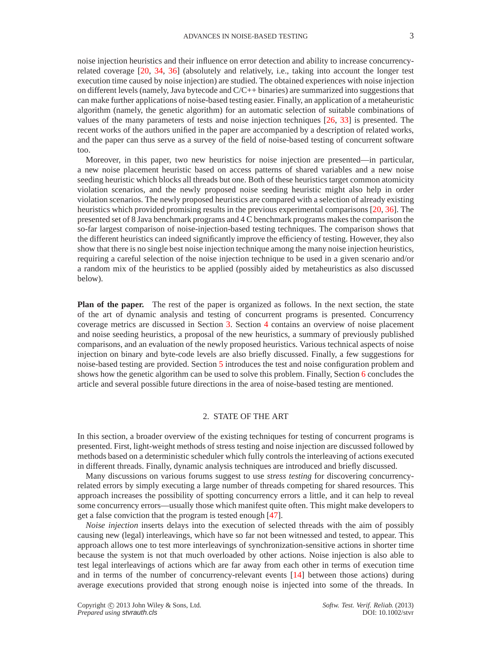noise injection heuristics and their influence on error detection and ability to increase concurrencyrelated coverage [\[20,](#page-36-11) [34,](#page-36-16) [36\]](#page-36-9) (absolutely and relatively, i.e., taking into account the longer test execution time caused by noise injection) are studied. The obtained experiences with noise injection on different levels (namely, Java bytecode and C/C++ binaries) are summarized into suggestions that can make further applications of noise-based testing easier. Finally, an application of a metaheuristic algorithm (namely, the genetic algorithm) for an automatic selection of suitable combinations of values of the many parameters of tests and noise injection techniques [\[26,](#page-36-13) [33\]](#page-36-15) is presented. The recent works of the authors unified in the paper are accompanied by a description of related works, and the paper can thus serve as a survey of the field of noise-based testing of concurrent software too.

Moreover, in this paper, two new heuristics for noise injection are presented—in particular, a new noise placement heuristic based on access patterns of shared variables and a new noise seeding heuristic which blocks all threads but one. Both of these heuristics target common atomicity violation scenarios, and the newly proposed noise seeding heuristic might also help in order violation scenarios. The newly proposed heuristics are compared with a selection of already existing heuristics which provided promising results in the previous experimental comparisons [\[20,](#page-36-11) [36\]](#page-36-9). The presented set of 8 Java benchmark programs and 4 C benchmark programs makes the comparison the so-far largest comparison of noise-injection-based testing techniques. The comparison shows that the different heuristics can indeed significantly improve the efficiency of testing. However, they also show that there is no single best noise injection technique among the many noise injection heuristics, requiring a careful selection of the noise injection technique to be used in a given scenario and/or a random mix of the heuristics to be applied (possibly aided by metaheuristics as also discussed below).

**Plan of the paper.** The rest of the paper is organized as follows. In the next section, the state of the art of dynamic analysis and testing of concurrent programs is presented. Concurrency coverage metrics are discussed in Section [3.](#page-4-0) Section [4](#page-11-0) contains an overview of noise placement and noise seeding heuristics, a proposal of the new heuristics, a summary of previously published comparisons, and an evaluation of the newly proposed heuristics. Various technical aspects of noise injection on binary and byte-code levels are also briefly discussed. Finally, a few suggestions for noise-based testing are provided. Section [5](#page-25-0) introduces the test and noise configuration problem and shows how the genetic algorithm can be used to solve this problem. Finally, Section [6](#page-34-0) concludes the article and several possible future directions in the area of noise-based testing are mentioned.

# 2. STATE OF THE ART

<span id="page-2-0"></span>In this section, a broader overview of the existing techniques for testing of concurrent programs is presented. First, light-weight methods of stress testing and noise injection are discussed followed by methods based on a deterministic scheduler which fully controls the interleaving of actions executed in different threads. Finally, dynamic analysis techniques are introduced and briefly discussed.

Many discussions on various forums suggest to use *stress testing* for discovering concurrencyrelated errors by simply executing a large number of threads competing for shared resources. This approach increases the possibility of spotting concurrency errors a little, and it can help to reveal some concurrency errors—usually those which manifest quite often. This might make developers to get a false conviction that the program is tested enough [\[47\]](#page-37-2).

*Noise injection* inserts delays into the execution of selected threads with the aim of possibly causing new (legal) interleavings, which have so far not been witnessed and tested, to appear. This approach allows one to test more interleavings of synchronization-sensitive actions in shorter time because the system is not that much overloaded by other actions. Noise injection is also able to test legal interleavings of actions which are far away from each other in terms of execution time and in terms of the number of concurrency-relevant events [\[14\]](#page-36-4) between those actions) during average executions provided that strong enough noise is injected into some of the threads. In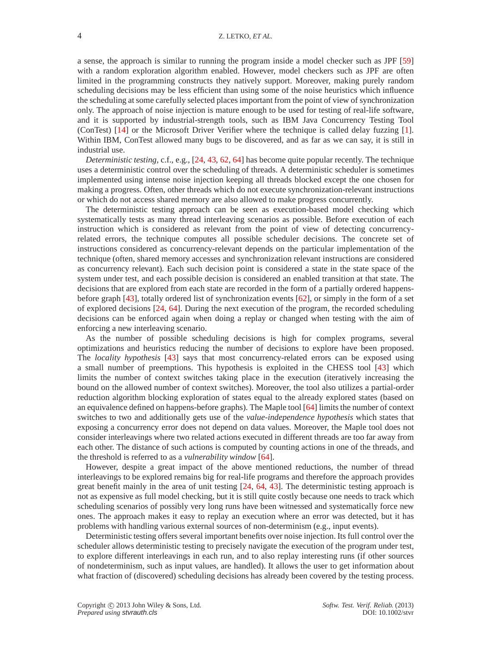# 4 Z. LETKO, *ET AL.*

a sense, the approach is similar to running the program inside a model checker such as JPF [\[59\]](#page-37-3) with a random exploration algorithm enabled. However, model checkers such as JPF are often limited in the programming constructs they natively support. Moreover, making purely random scheduling decisions may be less efficient than using some of the noise heuristics which influence the scheduling at some carefully selected places important from the point of view of synchronization only. The approach of noise injection is mature enough to be used for testing of real-life software, and it is supported by industrial-strength tools, such as IBM Java Concurrency Testing Tool (ConTest) [\[14\]](#page-36-4) or the Microsoft Driver Verifier where the technique is called delay fuzzing [\[1\]](#page-35-3). Within IBM, ConTest allowed many bugs to be discovered, and as far as we can say, it is still in industrial use.

*Deterministic testing*, c.f., e.g., [\[24,](#page-36-5) [43,](#page-36-6) [62,](#page-37-4) [64\]](#page-37-0) has become quite popular recently. The technique uses a deterministic control over the scheduling of threads. A deterministic scheduler is sometimes implemented using intense noise injection keeping all threads blocked except the one chosen for making a progress. Often, other threads which do not execute synchronization-relevant instructions or which do not access shared memory are also allowed to make progress concurrently.

The deterministic testing approach can be seen as execution-based model checking which systematically tests as many thread interleaving scenarios as possible. Before execution of each instruction which is considered as relevant from the point of view of detecting concurrencyrelated errors, the technique computes all possible scheduler decisions. The concrete set of instructions considered as concurrency-relevant depends on the particular implementation of the technique (often, shared memory accesses and synchronization relevant instructions are considered as concurrency relevant). Each such decision point is considered a state in the state space of the system under test, and each possible decision is considered an enabled transition at that state. The decisions that are explored from each state are recorded in the form of a partially ordered happensbefore graph [\[43\]](#page-36-6), totally ordered list of synchronization events [\[62\]](#page-37-4), or simply in the form of a set of explored decisions [\[24,](#page-36-5) [64\]](#page-37-0). During the next execution of the program, the recorded scheduling decisions can be enforced again when doing a replay or changed when testing with the aim of enforcing a new interleaving scenario.

As the number of possible scheduling decisions is high for complex programs, several optimizations and heuristics reducing the number of decisions to explore have been proposed. The *locality hypothesis* [\[43\]](#page-36-6) says that most concurrency-related errors can be exposed using a small number of preemptions. This hypothesis is exploited in the CHESS tool [\[43\]](#page-36-6) which limits the number of context switches taking place in the execution (iteratively increasing the bound on the allowed number of context switches). Moreover, the tool also utilizes a partial-order reduction algorithm blocking exploration of states equal to the already explored states (based on an equivalence defined on happens-before graphs). The Maple tool [\[64\]](#page-37-0) limits the number of context switches to two and additionally gets use of the *value-independence hypothesis* which states that exposing a concurrency error does not depend on data values. Moreover, the Maple tool does not consider interleavings where two related actions executed in different threads are too far away from each other. The distance of such actions is computed by counting actions in one of the threads, and the threshold is referred to as a *vulnerability window* [\[64\]](#page-37-0).

However, despite a great impact of the above mentioned reductions, the number of thread interleavings to be explored remains big for real-life programs and therefore the approach provides great benefit mainly in the area of unit testing  $[24, 64, 43]$  $[24, 64, 43]$  $[24, 64, 43]$  $[24, 64, 43]$ . The deterministic testing approach is not as expensive as full model checking, but it is still quite costly because one needs to track which scheduling scenarios of possibly very long runs have been witnessed and systematically force new ones. The approach makes it easy to replay an execution where an error was detected, but it has problems with handling various external sources of non-determinism (e.g., input events).

Deterministic testing offers several important benefits over noise injection. Its full control over the scheduler allows deterministic testing to precisely navigate the execution of the program under test, to explore different interleavings in each run, and to also replay interesting runs (if other sources of nondeterminism, such as input values, are handled). It allows the user to get information about what fraction of (discovered) scheduling decisions has already been covered by the testing process.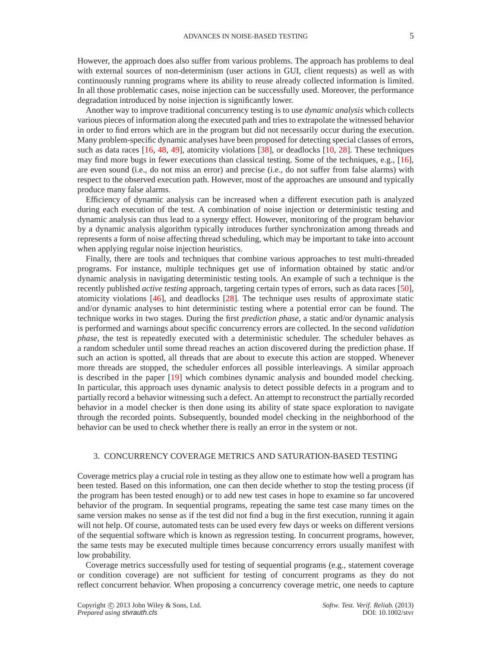However, the approach does also suffer from various problems. The approach has problems to deal with external sources of non-determinism (user actions in GUI, client requests) as well as with continuously running programs where its ability to reuse already collected information is limited. In all those problematic cases, noise injection can be successfully used. Moreover, the performance degradation introduced by noise injection is significantly lower.

Another way to improve traditional concurrency testing is to use *dynamic analysis* which collects various pieces of information along the executed path and tries to extrapolate the witnessed behavior in order to find errors which are in the program but did not necessarily occur during the execution. Many problem-specific dynamic analyses have been proposed for detecting special classes of errors, such as data races [\[16,](#page-36-8) [48,](#page-37-5) [49\]](#page-37-6), atomicity violations [\[38\]](#page-36-17), or deadlocks [\[10,](#page-36-7) [28\]](#page-36-18). These techniques may find more bugs in fewer executions than classical testing. Some of the techniques, e.g., [\[16\]](#page-36-8), are even sound (i.e., do not miss an error) and precise (i.e., do not suffer from false alarms) with respect to the observed execution path. However, most of the approaches are unsound and typically produce many false alarms.

Efficiency of dynamic analysis can be increased when a different execution path is analyzed during each execution of the test. A combination of noise injection or deterministic testing and dynamic analysis can thus lead to a synergy effect. However, monitoring of the program behavior by a dynamic analysis algorithm typically introduces further synchronization among threads and represents a form of noise affecting thread scheduling, which may be important to take into account when applying regular noise injection heuristics.

Finally, there are tools and techniques that combine various approaches to test multi-threaded programs. For instance, multiple techniques get use of information obtained by static and/or dynamic analysis in navigating deterministic testing tools. An example of such a technique is the recently published *active testing* approach, targeting certain types of errors, such as data races [\[50\]](#page-37-7), atomicity violations [\[46\]](#page-37-8), and deadlocks [\[28\]](#page-36-18). The technique uses results of approximate static and/or dynamic analyses to hint deterministic testing where a potential error can be found. The technique works in two stages. During the first *prediction phase*, a static and/or dynamic analysis is performed and warnings about specific concurrency errors are collected. In the second *validation phase*, the test is repeatedly executed with a deterministic scheduler. The scheduler behaves as a random scheduler until some thread reaches an action discovered during the prediction phase. If such an action is spotted, all threads that are about to execute this action are stopped. Whenever more threads are stopped, the scheduler enforces all possible interleavings. A similar approach is described in the paper [\[19\]](#page-36-19) which combines dynamic analysis and bounded model checking. In particular, this approach uses dynamic analysis to detect possible defects in a program and to partially record a behavior witnessing such a defect. An attempt to reconstruct the partially recorded behavior in a model checker is then done using its ability of state space exploration to navigate through the recorded points. Subsequently, bounded model checking in the neighborhood of the behavior can be used to check whether there is really an error in the system or not.

# <span id="page-4-0"></span>3. CONCURRENCY COVERAGE METRICS AND SATURATION-BASED TESTING

Coverage metrics play a crucial role in testing as they allow one to estimate how well a program has been tested. Based on this information, one can then decide whether to stop the testing process (if the program has been tested enough) or to add new test cases in hope to examine so far uncovered behavior of the program. In sequential programs, repeating the same test case many times on the same version makes no sense as if the test did not find a bug in the first execution, running it again will not help. Of course, automated tests can be used every few days or weeks on different versions of the sequential software which is known as regression testing. In concurrent programs, however, the same tests may be executed multiple times because concurrency errors usually manifest with low probability.

Coverage metrics successfully used for testing of sequential programs (e.g., statement coverage or condition coverage) are not sufficient for testing of concurrent programs as they do not reflect concurrent behavior. When proposing a concurrency coverage metric, one needs to capture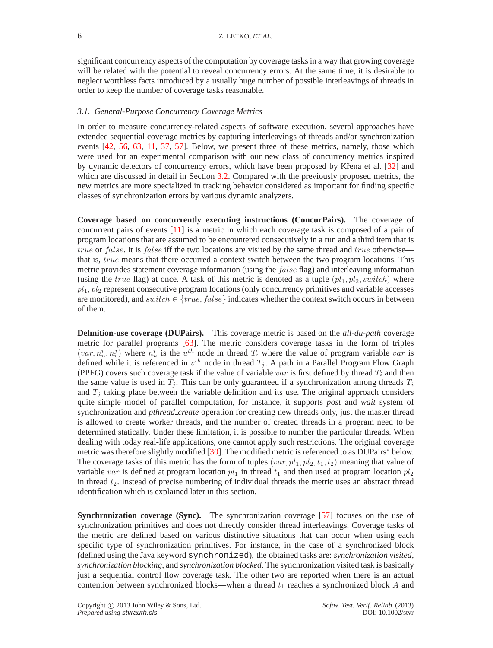significant concurrency aspects of the computation by coverage tasks in a way that growing coverage will be related with the potential to reveal concurrency errors. At the same time, it is desirable to neglect worthless facts introduced by a usually huge number of possible interleavings of threads in order to keep the number of coverage tasks reasonable.

# *3.1. General-Purpose Concurrency Coverage Metrics*

In order to measure concurrency-related aspects of software execution, several approaches have extended sequential coverage metrics by capturing interleavings of threads and/or synchronization events [\[42,](#page-36-20) [56,](#page-37-9) [63,](#page-37-10) [11,](#page-36-10) [37,](#page-36-21) [57\]](#page-37-1). Below, we present three of these metrics, namely, those which were used for an experimental comparison with our new class of concurrency metrics inspired by dynamic detectors of concurrency errors, which have been proposed by Křena et al. [\[32\]](#page-36-14) and which are discussed in detail in Section [3.2.](#page-6-0) Compared with the previously proposed metrics, the new metrics are more specialized in tracking behavior considered as important for finding specific classes of synchronization errors by various dynamic analyzers.

**Coverage based on concurrently executing instructions (ConcurPairs).** The coverage of concurrent pairs of events [\[11\]](#page-36-10) is a metric in which each coverage task is composed of a pair of program locations that are assumed to be encountered consecutively in a run and a third item that is true or false. It is false iff the two locations are visited by the same thread and true otherwise that is, true means that there occurred a context switch between the two program locations. This metric provides statement coverage information (using the *false* flag) and interleaving information (using the true flag) at once. A task of this metric is denoted as a tuple  $(pl_1, pl_2, switch)$  where  $pl_1$ ,  $pl_2$  represent consecutive program locations (only concurrency primitives and variable accesses are monitored), and switch  $\in \{true, false\}$  indicates whether the context switch occurs in between of them.

**Definition-use coverage (DUPairs).** This coverage metric is based on the *all-du-path* coverage metric for parallel programs [\[63\]](#page-37-10). The metric considers coverage tasks in the form of triples  $(var, n_u^i, n_v^j)$  where  $n_u^i$  is the  $u^{th}$  node in thread  $T_i$  where the value of program variable var is defined while it is referenced in  $v^{th}$  node in thread  $T_j$ . A path in a Parallel Program Flow Graph (PPFG) covers such coverage task if the value of variable var is first defined by thread  $T_i$  and then the same value is used in  $T_i$ . This can be only guaranteed if a synchronization among threads  $T_i$ and  $T_i$  taking place between the variable definition and its use. The original approach considers quite simple model of parallel computation, for instance, it supports *post* and *wait* system of synchronization and *pthread create* operation for creating new threads only, just the master thread is allowed to create worker threads, and the number of created threads in a program need to be determined statically. Under these limitation, it is possible to number the particular threads. When dealing with today real-life applications, one cannot apply such restrictions. The original coverage metric was therefore slightly modified [\[30\]](#page-36-22). The modified metric is referenced to as DUPairs<sup>∗</sup> below. The coverage tasks of this metric has the form of tuples  $(var, pl_1, pl_2, t_1, t_2)$  meaning that value of variable var is defined at program location  $pl_1$  in thread  $t_1$  and then used at program location  $pl_2$ in thread  $t_2$ . Instead of precise numbering of individual threads the metric uses an abstract thread identification which is explained later in this section.

**Synchronization coverage (Sync).** The synchronization coverage [\[57\]](#page-37-1) focuses on the use of synchronization primitives and does not directly consider thread interleavings. Coverage tasks of the metric are defined based on various distinctive situations that can occur when using each specific type of synchronization primitives. For instance, in the case of a synchronized block (defined using the Java keyword synchronized), the obtained tasks are: *synchronization visited*, *synchronization blocking*, and *synchronization blocked*. The synchronization visited task is basically just a sequential control flow coverage task. The other two are reported when there is an actual contention between synchronized blocks—when a thread  $t_1$  reaches a synchronized block A and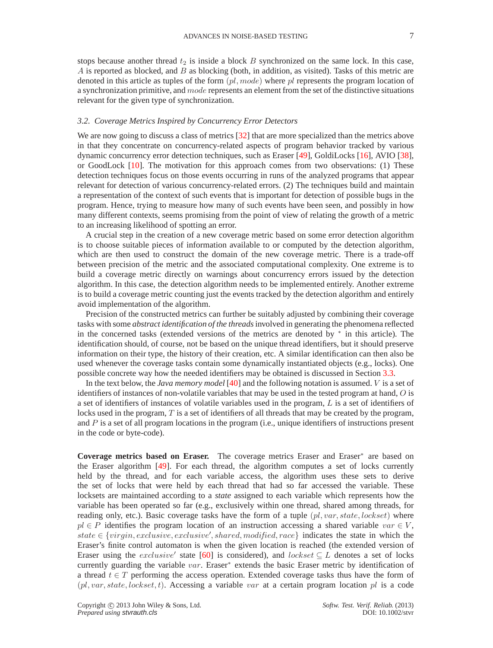stops because another thread  $t_2$  is inside a block B synchronized on the same lock. In this case, A is reported as blocked, and B as blocking (both, in addition, as visited). Tasks of this metric are denoted in this article as tuples of the form  $(pl, mode)$  where pl represents the program location of a synchronization primitive, and mode represents an element from the set of the distinctive situations relevant for the given type of synchronization.

#### <span id="page-6-0"></span>*3.2. Coverage Metrics Inspired by Concurrency Error Detectors*

We are now going to discuss a class of metrics [\[32\]](#page-36-14) that are more specialized than the metrics above in that they concentrate on concurrency-related aspects of program behavior tracked by various dynamic concurrency error detection techniques, such as Eraser [\[49\]](#page-37-6), GoldiLocks [\[16\]](#page-36-8), AVIO [\[38\]](#page-36-17), or GoodLock [\[10\]](#page-36-7). The motivation for this approach comes from two observations: (1) These detection techniques focus on those events occurring in runs of the analyzed programs that appear relevant for detection of various concurrency-related errors. (2) The techniques build and maintain a representation of the context of such events that is important for detection of possible bugs in the program. Hence, trying to measure how many of such events have been seen, and possibly in how many different contexts, seems promising from the point of view of relating the growth of a metric to an increasing likelihood of spotting an error.

A crucial step in the creation of a new coverage metric based on some error detection algorithm is to choose suitable pieces of information available to or computed by the detection algorithm, which are then used to construct the domain of the new coverage metric. There is a trade-off between precision of the metric and the associated computational complexity. One extreme is to build a coverage metric directly on warnings about concurrency errors issued by the detection algorithm. In this case, the detection algorithm needs to be implemented entirely. Another extreme is to build a coverage metric counting just the events tracked by the detection algorithm and entirely avoid implementation of the algorithm.

Precision of the constructed metrics can further be suitably adjusted by combining their coverage tasks with some *abstract identification of the threads*involved in generating the phenomena reflected in the concerned tasks (extended versions of the metrics are denoted by <sup>∗</sup> in this article). The identification should, of course, not be based on the unique thread identifiers, but it should preserve information on their type, the history of their creation, etc. A similar identification can then also be used whenever the coverage tasks contain some dynamically instantiated objects (e.g., locks). One possible concrete way how the needed identifiers may be obtained is discussed in Section [3.3.](#page-8-0)

In the text below, the *Java memory model* [\[40\]](#page-36-23) and the following notation is assumed. V is a set of identifiers of instances of non-volatile variables that may be used in the tested program at hand, O is a set of identifiers of instances of volatile variables used in the program, L is a set of identifiers of locks used in the program, T is a set of identifiers of all threads that may be created by the program, and  $P$  is a set of all program locations in the program (i.e., unique identifiers of instructions present in the code or byte-code).

Coverage metrics based on Eraser. The coverage metrics Eraser and Eraser<sup>\*</sup> are based on the Eraser algorithm [\[49\]](#page-37-6). For each thread, the algorithm computes a set of locks currently held by the thread, and for each variable access, the algorithm uses these sets to derive the set of locks that were held by each thread that had so far accessed the variable. These locksets are maintained according to a *state* assigned to each variable which represents how the variable has been operated so far (e.g., exclusively within one thread, shared among threads, for reading only, etc.). Basic coverage tasks have the form of a tuple  $(pl, var, state, lockset)$  where  $pl \in P$  identifies the program location of an instruction accessing a shared variable  $var \in V$ , state  $\in \{virgin, exclusive, exclusive', shared, modified, race\}$  indicates the state in which the Eraser's finite control automaton is when the given location is reached (the extended version of Eraser using the exclusive' state [\[60\]](#page-37-11) is considered), and lockset  $\subseteq L$  denotes a set of locks currently guarding the variable var. Eraser<sup>∗</sup> extends the basic Eraser metric by identification of a thread  $t \in T$  performing the access operation. Extended coverage tasks thus have the form of  $(pl, var, state, lockset, t)$ . Accessing a variable var at a certain program location pl is a code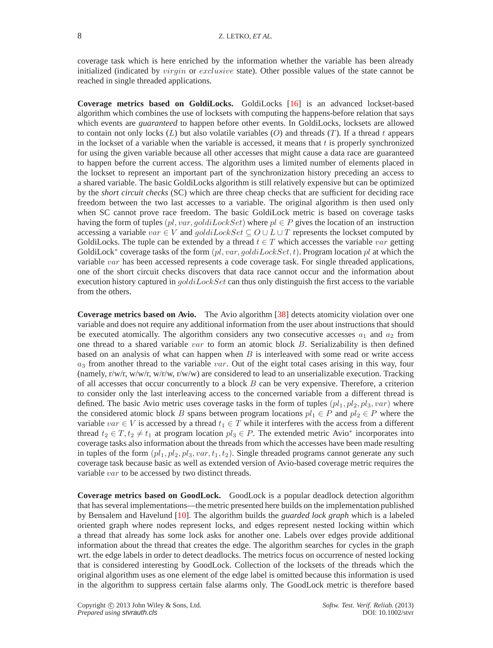coverage task which is here enriched by the information whether the variable has been already initialized (indicated by *virgin* or *exclusive* state). Other possible values of the state cannot be reached in single threaded applications.

**Coverage metrics based on GoldiLocks.** GoldiLocks [\[16\]](#page-36-8) is an advanced lockset-based algorithm which combines the use of locksets with computing the happens-before relation that says which events are *guaranteed* to happen before other events. In GoldiLocks, locksets are allowed to contain not only locks  $(L)$  but also volatile variables  $(O)$  and threads  $(T)$ . If a thread t appears in the lockset of a variable when the variable is accessed, it means that  $t$  is properly synchronized for using the given variable because all other accesses that might cause a data race are guaranteed to happen before the current access. The algorithm uses a limited number of elements placed in the lockset to represent an important part of the synchronization history preceding an access to a shared variable. The basic GoldiLocks algorithm is still relatively expensive but can be optimized by the *short circuit checks* (SC) which are three cheap checks that are sufficient for deciding race freedom between the two last accesses to a variable. The original algorithm is then used only when SC cannot prove race freedom. The basic GoldiLock metric is based on coverage tasks having the form of tuples (pl, var, goldiLockSet) where  $pl \in P$  gives the location of an instruction accessing a variable  $var \in V$  and  $goldiLockSet \subseteq O \cup L \cup T$  represents the lockset computed by GoldiLocks. The tuple can be extended by a thread  $t \in T$  which accesses the variable var getting GoldiLock<sup>\*</sup> coverage tasks of the form  $(pl, var, golddiLockSet, t)$ . Program location  $pl$  at which the variable var has been accessed represents a code coverage task. For single threaded applications, one of the short circuit checks discovers that data race cannot occur and the information about execution history captured in  $goldiLockSet$  can thus only distinguish the first access to the variable from the others.

**Coverage metrics based on Avio.** The Avio algorithm [\[38\]](#page-36-17) detects atomicity violation over one variable and does not require any additional information from the user about instructions that should be executed atomically. The algorithm considers any two consecutive accesses  $a_1$  and  $a_2$  from one thread to a shared variable var to form an atomic block  $B$ . Serializability is then defined based on an analysis of what can happen when  $B$  is interleaved with some read or write access  $a_3$  from another thread to the variable var. Out of the eight total cases arising in this way, four (namely, r/w/r, w/w/r, w/r/w, r/w/w) are considered to lead to an unserializable execution. Tracking of all accesses that occur concurrently to a block  $B$  can be very expensive. Therefore, a criterion to consider only the last interleaving access to the concerned variable from a different thread is defined. The basic Avio metric uses coverage tasks in the form of tuples  $(p_1, p_2, p_3, var)$  where the considered atomic block B spans between program locations  $pl_1 \in P$  and  $pl_2 \in P$  where the variable var  $\in V$  is accessed by a thread  $t_1 \in T$  while it interferes with the access from a different thread  $t_2 \in T$ ,  $t_2 \neq t_1$  at program location  $pl_3 \in P$ . The extended metric Avio<sup>\*</sup> incorporates into coverage tasks also information about the threads from which the accesses have been made resulting in tuples of the form  $(p_1, p_2, p_3, var, t_1, t_2)$ . Single threaded programs cannot generate any such coverage task because basic as well as extended version of Avio-based coverage metric requires the variable var to be accessed by two distinct threads.

**Coverage metrics based on GoodLock.** GoodLock is a popular deadlock detection algorithm that has several implementations—the metric presented here builds on the implementation published by Bensalem and Havelund [\[10\]](#page-36-7). The algorithm builds the *guarded lock graph* which is a labeled oriented graph where nodes represent locks, and edges represent nested locking within which a thread that already has some lock asks for another one. Labels over edges provide additional information about the thread that creates the edge. The algorithm searches for cycles in the graph wrt. the edge labels in order to detect deadlocks. The metrics focus on occurrence of nested locking that is considered interesting by GoodLock. Collection of the locksets of the threads which the original algorithm uses as one element of the edge label is omitted because this information is used in the algorithm to suppress certain false alarms only. The GoodLock metric is therefore based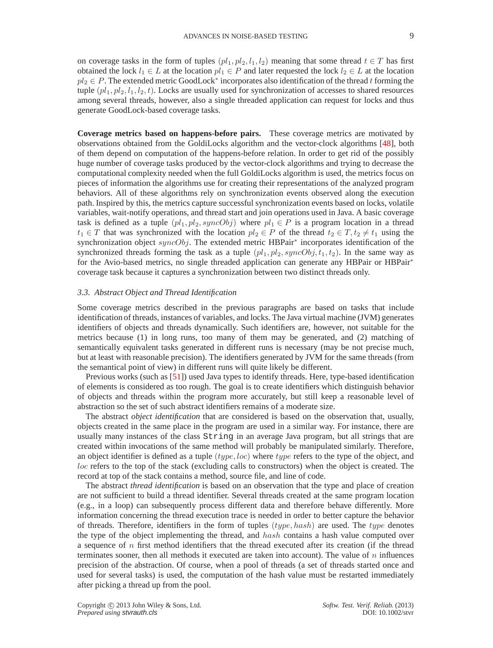on coverage tasks in the form of tuples  $(pl_1, pl_2, l_1, l_2)$  meaning that some thread  $t \in T$  has first obtained the lock  $l_1 \in L$  at the location  $pl_1 \in P$  and later requested the lock  $l_2 \in L$  at the location  $pl_2 \in P$ . The extended metric GoodLock<sup>\*</sup> incorporates also identification of the thread t forming the tuple  $(pl_1, pl_2, l_1, l_2, t)$ . Locks are usually used for synchronization of accesses to shared resources among several threads, however, also a single threaded application can request for locks and thus generate GoodLock-based coverage tasks.

**Coverage metrics based on happens-before pairs.** These coverage metrics are motivated by observations obtained from the GoldiLocks algorithm and the vector-clock algorithms [\[48\]](#page-37-5), both of them depend on computation of the happens-before relation. In order to get rid of the possibly huge number of coverage tasks produced by the vector-clock algorithms and trying to decrease the computational complexity needed when the full GoldiLocks algorithm is used, the metrics focus on pieces of information the algorithms use for creating their representations of the analyzed program behaviors. All of these algorithms rely on synchronization events observed along the execution path. Inspired by this, the metrics capture successful synchronization events based on locks, volatile variables, wait-notify operations, and thread start and join operations used in Java. A basic coverage task is defined as a tuple  $(p_1, p_2, syncObj)$  where  $pl_1 \in P$  is a program location in a thread  $t_1 \in T$  that was synchronized with the location  $pl_2 \in P$  of the thread  $t_2 \in T$ ,  $t_2 \neq t_1$  using the synchronization object  $syncObj$ . The extended metric HBPair<sup>\*</sup> incorporates identification of the synchronized threads forming the task as a tuple  $(pl_1, pl_2, syncObj, t_1, t_2)$ . In the same way as for the Avio-based metrics, no single threaded application can generate any HBPair or HBPair<sup>\*</sup> coverage task because it captures a synchronization between two distinct threads only.

# <span id="page-8-0"></span>*3.3. Abstract Object and Thread Identification*

Some coverage metrics described in the previous paragraphs are based on tasks that include identification of threads, instances of variables, and locks. The Java virtual machine (JVM) generates identifiers of objects and threads dynamically. Such identifiers are, however, not suitable for the metrics because (1) in long runs, too many of them may be generated, and (2) matching of semantically equivalent tasks generated in different runs is necessary (may be not precise much, but at least with reasonable precision). The identifiers generated by JVM for the same threads (from the semantical point of view) in different runs will quite likely be different.

Previous works (such as [\[51\]](#page-37-12)) used Java types to identify threads. Here, type-based identification of elements is considered as too rough. The goal is to create identifiers which distinguish behavior of objects and threads within the program more accurately, but still keep a reasonable level of abstraction so the set of such abstract identifiers remains of a moderate size.

The abstract *object identification* that are considered is based on the observation that, usually, objects created in the same place in the program are used in a similar way. For instance, there are usually many instances of the class String in an average Java program, but all strings that are created within invocations of the same method will probably be manipulated similarly. Therefore, an object identifier is defined as a tuple  $(type, loc)$  where  $type$  refers to the type of the object, and loc refers to the top of the stack (excluding calls to constructors) when the object is created. The record at top of the stack contains a method, source file, and line of code.

The abstract *thread identification* is based on an observation that the type and place of creation are not sufficient to build a thread identifier. Several threads created at the same program location (e.g., in a loop) can subsequently process different data and therefore behave differently. More information concerning the thread execution trace is needed in order to better capture the behavior of threads. Therefore, identifiers in the form of tuples  $(type, hash)$  are used. The type denotes the type of the object implementing the thread, and hash contains a hash value computed over a sequence of n first method identifiers that the thread executed after its creation (if the thread terminates sooner, then all methods it executed are taken into account). The value of  $n$  influences precision of the abstraction. Of course, when a pool of threads (a set of threads started once and used for several tasks) is used, the computation of the hash value must be restarted immediately after picking a thread up from the pool.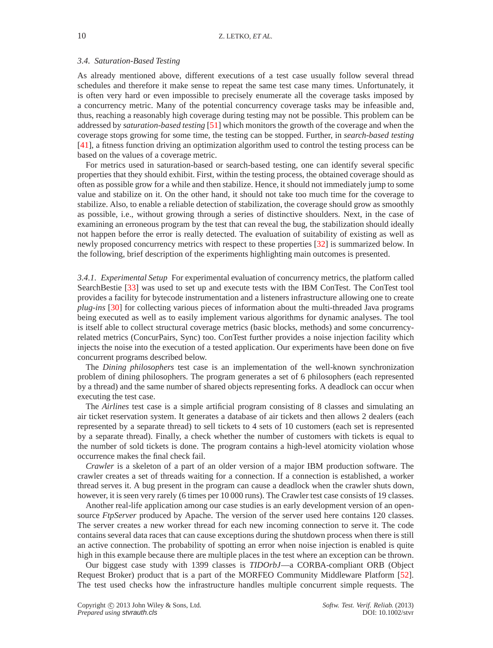# <span id="page-9-1"></span>*3.4. Saturation-Based Testing*

As already mentioned above, different executions of a test case usually follow several thread schedules and therefore it make sense to repeat the same test case many times. Unfortunately, it is often very hard or even impossible to precisely enumerate all the coverage tasks imposed by a concurrency metric. Many of the potential concurrency coverage tasks may be infeasible and, thus, reaching a reasonably high coverage during testing may not be possible. This problem can be addressed by *saturation-based testing* [\[51\]](#page-37-12) which monitors the growth of the coverage and when the coverage stops growing for some time, the testing can be stopped. Further, in *search-based testing* [\[41\]](#page-36-24), a fitness function driving an optimization algorithm used to control the testing process can be based on the values of a coverage metric.

For metrics used in saturation-based or search-based testing, one can identify several specific properties that they should exhibit. First, within the testing process, the obtained coverage should as often as possible grow for a while and then stabilize. Hence, it should not immediately jump to some value and stabilize on it. On the other hand, it should not take too much time for the coverage to stabilize. Also, to enable a reliable detection of stabilization, the coverage should grow as smoothly as possible, i.e., without growing through a series of distinctive shoulders. Next, in the case of examining an erroneous program by the test that can reveal the bug, the stabilization should ideally not happen before the error is really detected. The evaluation of suitability of existing as well as newly proposed concurrency metrics with respect to these properties [\[32\]](#page-36-14) is summarized below. In the following, brief description of the experiments highlighting main outcomes is presented.

<span id="page-9-0"></span>*3.4.1. Experimental Setup* For experimental evaluation of concurrency metrics, the platform called SearchBestie [\[33\]](#page-36-15) was used to set up and execute tests with the IBM ConTest. The ConTest tool provides a facility for bytecode instrumentation and a listeners infrastructure allowing one to create *plug-ins* [\[30\]](#page-36-22) for collecting various pieces of information about the multi-threaded Java programs being executed as well as to easily implement various algorithms for dynamic analyses. The tool is itself able to collect structural coverage metrics (basic blocks, methods) and some concurrencyrelated metrics (ConcurPairs, Sync) too. ConTest further provides a noise injection facility which injects the noise into the execution of a tested application. Our experiments have been done on five concurrent programs described below.

The *Dining philosophers* test case is an implementation of the well-known synchronization problem of dining philosophers. The program generates a set of 6 philosophers (each represented by a thread) and the same number of shared objects representing forks. A deadlock can occur when executing the test case.

The *Airlines* test case is a simple artificial program consisting of 8 classes and simulating an air ticket reservation system. It generates a database of air tickets and then allows 2 dealers (each represented by a separate thread) to sell tickets to 4 sets of 10 customers (each set is represented by a separate thread). Finally, a check whether the number of customers with tickets is equal to the number of sold tickets is done. The program contains a high-level atomicity violation whose occurrence makes the final check fail.

*Crawler* is a skeleton of a part of an older version of a major IBM production software. The crawler creates a set of threads waiting for a connection. If a connection is established, a worker thread serves it. A bug present in the program can cause a deadlock when the crawler shuts down, however, it is seen very rarely (6 times per 10 000 runs). The Crawler test case consists of 19 classes.

Another real-life application among our case studies is an early development version of an opensource *FtpServer* produced by Apache. The version of the server used here contains 120 classes. The server creates a new worker thread for each new incoming connection to serve it. The code contains several data races that can cause exceptions during the shutdown process when there is still an active connection. The probability of spotting an error when noise injection is enabled is quite high in this example because there are multiple places in the test where an exception can be thrown.

Our biggest case study with 1399 classes is *TIDOrbJ*—a CORBA-compliant ORB (Object Request Broker) product that is a part of the MORFEO Community Middleware Platform [\[52\]](#page-37-13). The test used checks how the infrastructure handles multiple concurrent simple requests. The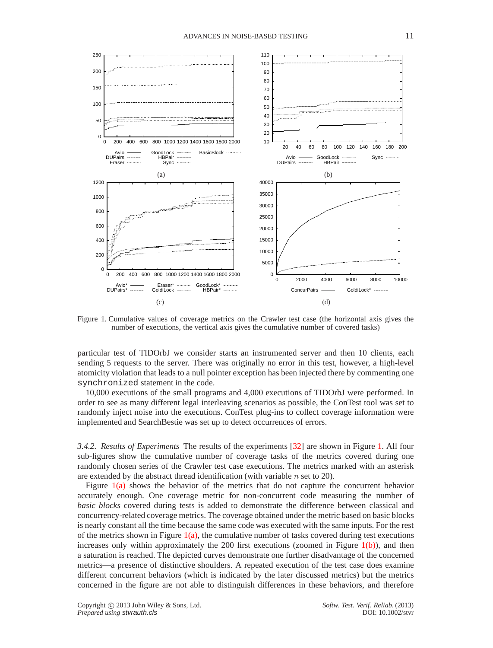<span id="page-10-2"></span><span id="page-10-1"></span><span id="page-10-0"></span>

<span id="page-10-4"></span><span id="page-10-3"></span>Figure 1. Cumulative values of coverage metrics on the Crawler test case (the horizontal axis gives the number of executions, the vertical axis gives the cumulative number of covered tasks)

particular test of TIDOrbJ we consider starts an instrumented server and then 10 clients, each sending 5 requests to the server. There was originally no error in this test, however, a high-level atomicity violation that leads to a null pointer exception has been injected there by commenting one synchronized statement in the code.

10,000 executions of the small programs and 4,000 executions of TIDOrbJ were performed. In order to see as many different legal interleaving scenarios as possible, the ConTest tool was set to randomly inject noise into the executions. ConTest plug-ins to collect coverage information were implemented and SearchBestie was set up to detect occurrences of errors.

*3.4.2. Results of Experiments* The results of the experiments [\[32\]](#page-36-14) are shown in Figure [1.](#page-10-0) All four sub-figures show the cumulative number of coverage tasks of the metrics covered during one randomly chosen series of the Crawler test case executions. The metrics marked with an asterisk are extended by the abstract thread identification (with variable  $n$  set to 20).

Figure [1\(a\)](#page-10-1) shows the behavior of the metrics that do not capture the concurrent behavior accurately enough. One coverage metric for non-concurrent code measuring the number of *basic blocks* covered during tests is added to demonstrate the difference between classical and concurrency-related coverage metrics. The coverage obtained under the metric based on basic blocks is nearly constant all the time because the same code was executed with the same inputs. For the rest of the metrics shown in Figure  $1(a)$ , the cumulative number of tasks covered during test executions increases only within approximately the 200 first executions (zoomed in Figure  $1(b)$ ), and then a saturation is reached. The depicted curves demonstrate one further disadvantage of the concerned metrics—a presence of distinctive shoulders. A repeated execution of the test case does examine different concurrent behaviors (which is indicated by the later discussed metrics) but the metrics concerned in the figure are not able to distinguish differences in these behaviors, and therefore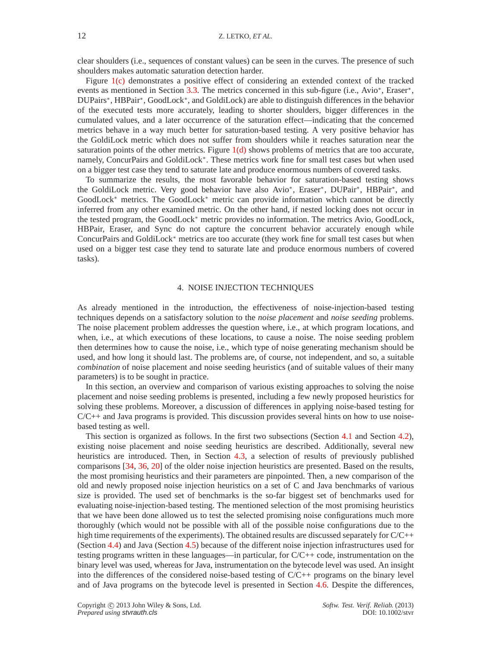clear shoulders (i.e., sequences of constant values) can be seen in the curves. The presence of such shoulders makes automatic saturation detection harder.

Figure [1\(c\)](#page-10-3) demonstrates a positive effect of considering an extended context of the tracked events as mentioned in Section [3.3.](#page-8-0) The metrics concerned in this sub-figure (i.e., Avio\*, Eraser\*, DUPairs<sup>∗</sup> , HBPair<sup>∗</sup> , GoodLock<sup>∗</sup> , and GoldiLock) are able to distinguish differences in the behavior of the executed tests more accurately, leading to shorter shoulders, bigger differences in the cumulated values, and a later occurrence of the saturation effect—indicating that the concerned metrics behave in a way much better for saturation-based testing. A very positive behavior has the GoldiLock metric which does not suffer from shoulders while it reaches saturation near the saturation points of the other metrics. Figure  $1(d)$  shows problems of metrics that are too accurate, namely, ConcurPairs and GoldiLock<sup>∗</sup>. These metrics work fine for small test cases but when used on a bigger test case they tend to saturate late and produce enormous numbers of covered tasks.

To summarize the results, the most favorable behavior for saturation-based testing shows the GoldiLock metric. Very good behavior have also Avio\*, Eraser\*, DUPair\*, HBPair\*, and GoodLock<sup>∗</sup> metrics. The GoodLock<sup>∗</sup> metric can provide information which cannot be directly inferred from any other examined metric. On the other hand, if nested locking does not occur in the tested program, the GoodLock<sup>∗</sup> metric provides no information. The metrics Avio, GoodLock, HBPair, Eraser, and Sync do not capture the concurrent behavior accurately enough while ConcurPairs and GoldiLock<sup>∗</sup> metrics are too accurate (they work fine for small test cases but when used on a bigger test case they tend to saturate late and produce enormous numbers of covered tasks).

# 4. NOISE INJECTION TECHNIQUES

<span id="page-11-0"></span>As already mentioned in the introduction, the effectiveness of noise-injection-based testing techniques depends on a satisfactory solution to the *noise placement* and *noise seeding* problems. The noise placement problem addresses the question where, i.e., at which program locations, and when, i.e., at which executions of these locations, to cause a noise. The noise seeding problem then determines how to cause the noise, i.e., which type of noise generating mechanism should be used, and how long it should last. The problems are, of course, not independent, and so, a suitable *combination* of noise placement and noise seeding heuristics (and of suitable values of their many parameters) is to be sought in practice.

In this section, an overview and comparison of various existing approaches to solving the noise placement and noise seeding problems is presented, including a few newly proposed heuristics for solving these problems. Moreover, a discussion of differences in applying noise-based testing for  $C/C++$  and Java programs is provided. This discussion provides several hints on how to use noisebased testing as well.

This section is organized as follows. In the first two subsections (Section [4.1](#page-12-0) and Section [4.2\)](#page-13-0), existing noise placement and noise seeding heuristics are described. Additionally, several new heuristics are introduced. Then, in Section [4.3,](#page-14-0) a selection of results of previously published comparisons [\[34,](#page-36-16) [36,](#page-36-9) [20\]](#page-36-11) of the older noise injection heuristics are presented. Based on the results, the most promising heuristics and their parameters are pinpointed. Then, a new comparison of the old and newly proposed noise injection heuristics on a set of C and Java benchmarks of various size is provided. The used set of benchmarks is the so-far biggest set of benchmarks used for evaluating noise-injection-based testing. The mentioned selection of the most promising heuristics that we have been done allowed us to test the selected promising noise configurations much more thoroughly (which would not be possible with all of the possible noise configurations due to the high time requirements of the experiments). The obtained results are discussed separately for  $C/C++$ (Section [4.4\)](#page-17-0) and Java (Section [4.5\)](#page-20-0) because of the different noise injection infrastructures used for testing programs written in these languages—in particular, for C/C++ code, instrumentation on the binary level was used, whereas for Java, instrumentation on the bytecode level was used. An insight into the differences of the considered noise-based testing of  $C/C++$  programs on the binary level and of Java programs on the bytecode level is presented in Section [4.6.](#page-23-0) Despite the differences,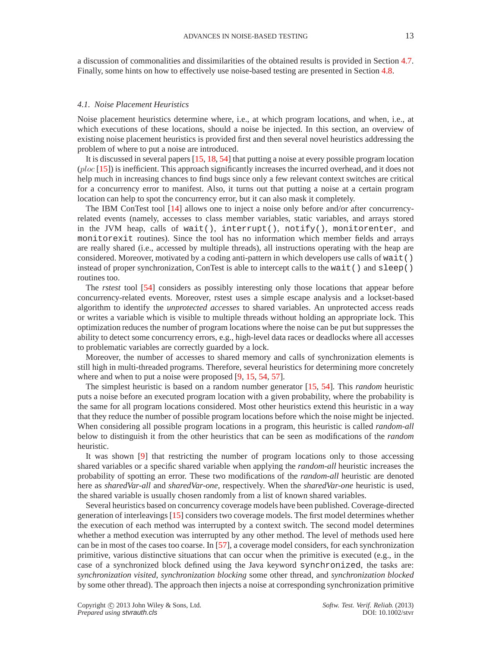a discussion of commonalities and dissimilarities of the obtained results is provided in Section [4.7.](#page-24-0) Finally, some hints on how to effectively use noise-based testing are presented in Section [4.8.](#page-24-1)

#### <span id="page-12-0"></span>*4.1. Noise Placement Heuristics*

Noise placement heuristics determine where, i.e., at which program locations, and when, i.e., at which executions of these locations, should a noise be injected. In this section, an overview of existing noise placement heuristics is provided first and then several novel heuristics addressing the problem of where to put a noise are introduced.

It is discussed in several papers [\[15,](#page-36-25) [18,](#page-36-26) [54\]](#page-37-14) that putting a noise at every possible program location (ploc [\[15\]](#page-36-25)) is inefficient. This approach significantly increases the incurred overhead, and it does not help much in increasing chances to find bugs since only a few relevant context switches are critical for a concurrency error to manifest. Also, it turns out that putting a noise at a certain program location can help to spot the concurrency error, but it can also mask it completely.

The IBM ConTest tool [\[14\]](#page-36-4) allows one to inject a noise only before and/or after concurrencyrelated events (namely, accesses to class member variables, static variables, and arrays stored in the JVM heap, calls of wait(), interrupt(), notify(), monitorenter, and monitorexit routines). Since the tool has no information which member fields and arrays are really shared (i.e., accessed by multiple threads), all instructions operating with the heap are considered. Moreover, motivated by a coding anti-pattern in which developers use calls of wait() instead of proper synchronization, ConTest is able to intercept calls to the wait () and  $s =$ leep() routines too.

The *rstest* tool [\[54\]](#page-37-14) considers as possibly interesting only those locations that appear before concurrency-related events. Moreover, rstest uses a simple escape analysis and a lockset-based algorithm to identify the *unprotected accesses* to shared variables. An unprotected access reads or writes a variable which is visible to multiple threads without holding an appropriate lock. This optimization reduces the number of program locations where the noise can be put but suppresses the ability to detect some concurrency errors, e.g., high-level data races or deadlocks where all accesses to problematic variables are correctly guarded by a lock.

Moreover, the number of accesses to shared memory and calls of synchronization elements is still high in multi-threaded programs. Therefore, several heuristics for determining more concretely where and when to put a noise were proposed  $[9, 15, 54, 57]$  $[9, 15, 54, 57]$  $[9, 15, 54, 57]$  $[9, 15, 54, 57]$  $[9, 15, 54, 57]$  $[9, 15, 54, 57]$ .

The simplest heuristic is based on a random number generator [\[15,](#page-36-25) [54\]](#page-37-14). This *random* heuristic puts a noise before an executed program location with a given probability, where the probability is the same for all program locations considered. Most other heuristics extend this heuristic in a way that they reduce the number of possible program locations before which the noise might be injected. When considering all possible program locations in a program, this heuristic is called *random-all* below to distinguish it from the other heuristics that can be seen as modifications of the *random* heuristic.

It was shown [\[9\]](#page-35-4) that restricting the number of program locations only to those accessing shared variables or a specific shared variable when applying the *random-all* heuristic increases the probability of spotting an error. These two modifications of the *random-all* heuristic are denoted here as *sharedVar-all* and *sharedVar-one*, respectively. When the *sharedVar-one* heuristic is used, the shared variable is usually chosen randomly from a list of known shared variables.

Several heuristics based on concurrency coverage models have been published. Coverage-directed generation of interleavings [\[15\]](#page-36-25) considers two coverage models. The first model determines whether the execution of each method was interrupted by a context switch. The second model determines whether a method execution was interrupted by any other method. The level of methods used here can be in most of the cases too coarse. In [\[57\]](#page-37-1), a coverage model considers, for each synchronization primitive, various distinctive situations that can occur when the primitive is executed (e.g., in the case of a synchronized block defined using the Java keyword synchronized, the tasks are: *synchronization visited*, *synchronization blocking* some other thread, and *synchronization blocked* by some other thread). The approach then injects a noise at corresponding synchronization primitive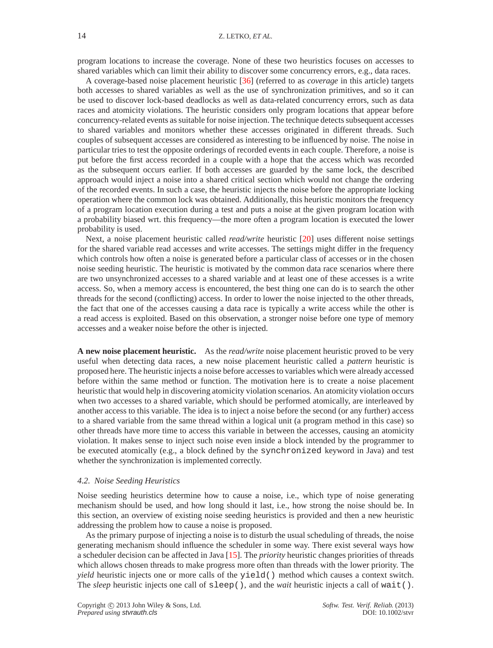program locations to increase the coverage. None of these two heuristics focuses on accesses to shared variables which can limit their ability to discover some concurrency errors, e.g., data races.

A coverage-based noise placement heuristic [\[36\]](#page-36-9) (referred to as *coverage* in this article) targets both accesses to shared variables as well as the use of synchronization primitives, and so it can be used to discover lock-based deadlocks as well as data-related concurrency errors, such as data races and atomicity violations. The heuristic considers only program locations that appear before concurrency-related events as suitable for noise injection. The technique detects subsequent accesses to shared variables and monitors whether these accesses originated in different threads. Such couples of subsequent accesses are considered as interesting to be influenced by noise. The noise in particular tries to test the opposite orderings of recorded events in each couple. Therefore, a noise is put before the first access recorded in a couple with a hope that the access which was recorded as the subsequent occurs earlier. If both accesses are guarded by the same lock, the described approach would inject a noise into a shared critical section which would not change the ordering of the recorded events. In such a case, the heuristic injects the noise before the appropriate locking operation where the common lock was obtained. Additionally, this heuristic monitors the frequency of a program location execution during a test and puts a noise at the given program location with a probability biased wrt. this frequency—the more often a program location is executed the lower probability is used.

Next, a noise placement heuristic called *read/write* heuristic [\[20\]](#page-36-11) uses different noise settings for the shared variable read accesses and write accesses. The settings might differ in the frequency which controls how often a noise is generated before a particular class of accesses or in the chosen noise seeding heuristic. The heuristic is motivated by the common data race scenarios where there are two unsynchronized accesses to a shared variable and at least one of these accesses is a write access. So, when a memory access is encountered, the best thing one can do is to search the other threads for the second (conflicting) access. In order to lower the noise injected to the other threads, the fact that one of the accesses causing a data race is typically a write access while the other is a read access is exploited. Based on this observation, a stronger noise before one type of memory accesses and a weaker noise before the other is injected.

**A new noise placement heuristic.** As the *read/write* noise placement heuristic proved to be very useful when detecting data races, a new noise placement heuristic called a *pattern* heuristic is proposed here. The heuristic injects a noise before accesses to variables which were already accessed before within the same method or function. The motivation here is to create a noise placement heuristic that would help in discovering atomicity violation scenarios. An atomicity violation occurs when two accesses to a shared variable, which should be performed atomically, are interleaved by another access to this variable. The idea is to inject a noise before the second (or any further) access to a shared variable from the same thread within a logical unit (a program method in this case) so other threads have more time to access this variable in between the accesses, causing an atomicity violation. It makes sense to inject such noise even inside a block intended by the programmer to be executed atomically (e.g., a block defined by the synchronized keyword in Java) and test whether the synchronization is implemented correctly.

## <span id="page-13-0"></span>*4.2. Noise Seeding Heuristics*

Noise seeding heuristics determine how to cause a noise, i.e., which type of noise generating mechanism should be used, and how long should it last, i.e., how strong the noise should be. In this section, an overview of existing noise seeding heuristics is provided and then a new heuristic addressing the problem how to cause a noise is proposed.

As the primary purpose of injecting a noise is to disturb the usual scheduling of threads, the noise generating mechanism should influence the scheduler in some way. There exist several ways how a scheduler decision can be affected in Java [\[15\]](#page-36-25). The *priority* heuristic changes priorities of threads which allows chosen threads to make progress more often than threads with the lower priority. The *yield* heuristic injects one or more calls of the yield() method which causes a context switch. The *sleep* heuristic injects one call of sleep(), and the *wait* heuristic injects a call of wait().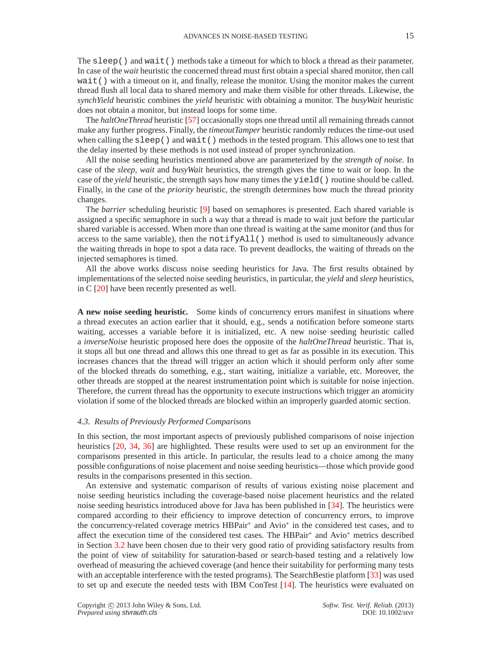The sleep() and wait() methods take a timeout for which to block a thread as their parameter. In case of the *wait* heuristic the concerned thread must first obtain a special shared monitor, then call wait() with a timeout on it, and finally, release the monitor. Using the monitor makes the current thread flush all local data to shared memory and make them visible for other threads. Likewise, the *synchYield* heuristic combines the *yield* heuristic with obtaining a monitor. The *busyWait* heuristic does not obtain a monitor, but instead loops for some time.

The *haltOneThread* heuristic [\[57\]](#page-37-1) occasionally stops one thread until all remaining threads cannot make any further progress. Finally, the *timeoutTamper* heuristic randomly reduces the time-out used when calling the  $s^\text{leep}$  and wait () methods in the tested program. This allows one to test that the delay inserted by these methods is not used instead of proper synchronization.

All the noise seeding heuristics mentioned above are parameterized by the *strength of noise*. In case of the *sleep*, *wait* and *busyWait* heuristics, the strength gives the time to wait or loop. In the case of the *yield* heuristic, the strength says how many times the yield() routine should be called. Finally, in the case of the *priority* heuristic, the strength determines how much the thread priority changes.

The *barrier* scheduling heuristic [\[9\]](#page-35-4) based on semaphores is presented. Each shared variable is assigned a specific semaphore in such a way that a thread is made to wait just before the particular shared variable is accessed. When more than one thread is waiting at the same monitor (and thus for access to the same variable), then the notifyAll() method is used to simultaneously advance the waiting threads in hope to spot a data race. To prevent deadlocks, the waiting of threads on the injected semaphores is timed.

All the above works discuss noise seeding heuristics for Java. The first results obtained by implementations of the selected noise seeding heuristics, in particular, the *yield* and *sleep* heuristics, in C [\[20\]](#page-36-11) have been recently presented as well.

**A new noise seeding heuristic.** Some kinds of concurrency errors manifest in situations where a thread executes an action earlier that it should, e.g., sends a notification before someone starts waiting, accesses a variable before it is initialized, etc. A new noise seeding heuristic called a *inverseNoise* heuristic proposed here does the opposite of the *haltOneThread* heuristic. That is, it stops all but one thread and allows this one thread to get as far as possible in its execution. This increases chances that the thread will trigger an action which it should perform only after some of the blocked threads do something, e.g., start waiting, initialize a variable, etc. Moreover, the other threads are stopped at the nearest instrumentation point which is suitable for noise injection. Therefore, the current thread has the opportunity to execute instructions which trigger an atomicity violation if some of the blocked threads are blocked within an improperly guarded atomic section.

# <span id="page-14-0"></span>*4.3. Results of Previously Performed Comparisons*

In this section, the most important aspects of previously published comparisons of noise injection heuristics [\[20,](#page-36-11) [34,](#page-36-16) [36\]](#page-36-9) are highlighted. These results were used to set up an environment for the comparisons presented in this article. In particular, the results lead to a choice among the many possible configurations of noise placement and noise seeding heuristics—those which provide good results in the comparisons presented in this section.

An extensive and systematic comparison of results of various existing noise placement and noise seeding heuristics including the coverage-based noise placement heuristics and the related noise seeding heuristics introduced above for Java has been published in [\[34\]](#page-36-16). The heuristics were compared according to their efficiency to improve detection of concurrency errors, to improve the concurrency-related coverage metrics HBPair<sup>∗</sup> and Avio<sup>∗</sup> in the considered test cases, and to affect the execution time of the considered test cases. The HBPair<sup>∗</sup> and Avio<sup>∗</sup> metrics described in Section [3.2](#page-6-0) have been chosen due to their very good ratio of providing satisfactory results from the point of view of suitability for saturation-based or search-based testing and a relatively low overhead of measuring the achieved coverage (and hence their suitability for performing many tests with an acceptable interference with the tested programs). The SearchBestie platform [\[33\]](#page-36-15) was used to set up and execute the needed tests with IBM ConTest [\[14\]](#page-36-4). The heuristics were evaluated on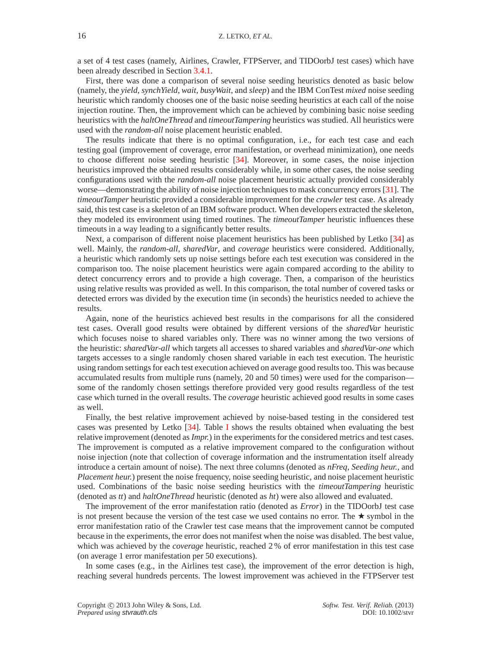a set of 4 test cases (namely, Airlines, Crawler, FTPServer, and TIDOorbJ test cases) which have been already described in Section [3.4.1.](#page-9-0)

First, there was done a comparison of several noise seeding heuristics denoted as basic below (namely, the *yield*, *synchYield*, *wait*, *busyWait*, and *sleep*) and the IBM ConTest *mixed* noise seeding heuristic which randomly chooses one of the basic noise seeding heuristics at each call of the noise injection routine. Then, the improvement which can be achieved by combining basic noise seeding heuristics with the *haltOneThread* and *timeoutTampering* heuristics was studied. All heuristics were used with the *random-all* noise placement heuristic enabled.

The results indicate that there is no optimal configuration, i.e., for each test case and each testing goal (improvement of coverage, error manifestation, or overhead minimization), one needs to choose different noise seeding heuristic [\[34\]](#page-36-16). Moreover, in some cases, the noise injection heuristics improved the obtained results considerably while, in some other cases, the noise seeding configurations used with the *random-all* noise placement heuristic actually provided considerably worse—demonstrating the ability of noise injection techniques to mask concurrency errors [\[31\]](#page-36-27). The *timeoutTamper* heuristic provided a considerable improvement for the *crawler* test case. As already said, this test case is a skeleton of an IBM software product. When developers extracted the skeleton, they modeled its environment using timed routines. The *timeoutTamper* heuristic influences these timeouts in a way leading to a significantly better results.

Next, a comparison of different noise placement heuristics has been published by Letko [\[34\]](#page-36-16) as well. Mainly, the *random-all*, *sharedVar*, and *coverage* heuristics were considered. Additionally, a heuristic which randomly sets up noise settings before each test execution was considered in the comparison too. The noise placement heuristics were again compared according to the ability to detect concurrency errors and to provide a high coverage. Then, a comparison of the heuristics using relative results was provided as well. In this comparison, the total number of covered tasks or detected errors was divided by the execution time (in seconds) the heuristics needed to achieve the results.

Again, none of the heuristics achieved best results in the comparisons for all the considered test cases. Overall good results were obtained by different versions of the *sharedVar* heuristic which focuses noise to shared variables only. There was no winner among the two versions of the heuristic: *sharedVar-all* which targets all accesses to shared variables and *sharedVar-one* which targets accesses to a single randomly chosen shared variable in each test execution. The heuristic using random settings for each test execution achieved on average good results too. This was because accumulated results from multiple runs (namely, 20 and 50 times) were used for the comparison some of the randomly chosen settings therefore provided very good results regardless of the test case which turned in the overall results. The *coverage* heuristic achieved good results in some cases as well.

Finally, the best relative improvement achieved by noise-based testing in the considered test cases was presented by Letko [\[34\]](#page-36-16). Table [I](#page-16-0) shows the results obtained when evaluating the best relative improvement (denoted as *Impr.*) in the experiments for the considered metrics and test cases. The improvement is computed as a relative improvement compared to the configuration without noise injection (note that collection of coverage information and the instrumentation itself already introduce a certain amount of noise). The next three columns (denoted as *nFreq*, *Seeding heur.*, and *Placement heur.*) present the noise frequency, noise seeding heuristic, and noise placement heuristic used. Combinations of the basic noise seeding heuristics with the *timeoutTampering* heuristic (denoted as *tt*) and *haltOneThread* heuristic (denoted as *ht*) were also allowed and evaluated.

The improvement of the error manifestation ratio (denoted as *Error*) in the TIDOorbJ test case is not present because the version of the test case we used contains no error. The ★ symbol in the error manifestation ratio of the Crawler test case means that the improvement cannot be computed because in the experiments, the error does not manifest when the noise was disabled. The best value, which was achieved by the *coverage* heuristic, reached 2 % of error manifestation in this test case (on average 1 error manifestation per 50 executions).

In some cases (e.g., in the Airlines test case), the improvement of the error detection is high, reaching several hundreds percents. The lowest improvement was achieved in the FTPServer test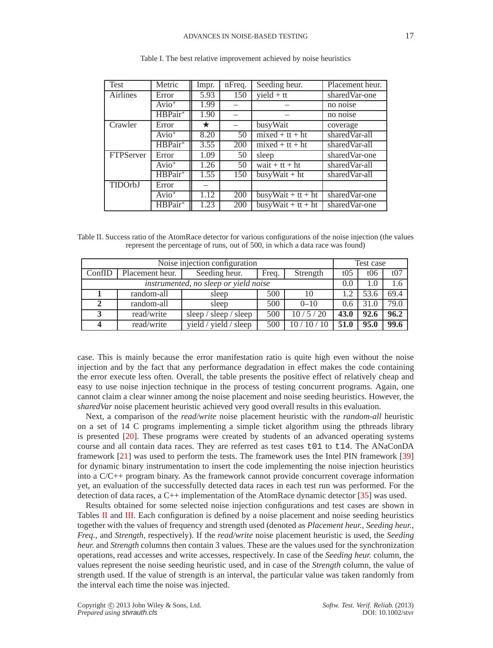| . .<br>× |
|----------|
|          |
|          |

<span id="page-16-0"></span>

| <b>Test</b>      | Metric   | Impr.                    | nFreq. | Seeding heur.        | Placement heur. |
|------------------|----------|--------------------------|--------|----------------------|-----------------|
| Airlines         | Error    | 5.93                     | 150    | $yield + tt$         | shared Var-one  |
|                  | $Avio^*$ | 1.99                     |        |                      | no noise        |
|                  | HBPair*  | 1.90                     |        |                      | no noise        |
| Crawler          | Error    | $\star$                  |        | busyWait             | coverage        |
|                  | $Avio^*$ | 8.20                     | 50     | $mixed + tt + ht$    | sharedVar-all   |
|                  | HBPair*  | 3.55                     | 200    | $mixed + tt + ht$    | sharedVar-all   |
| <b>FTPServer</b> | Error    | 1.09                     | 50     | sleep                | sharedVar-one   |
|                  | $Avio^*$ | 1.26                     | 50     | wait + tt + $ht$     | sharedVar-all   |
|                  | HBPair*  | 1.55                     | 150    | $busyWait + ht$      | shared Var-all  |
| TIDOrbJ          | Error    | $\overline{\phantom{0}}$ |        |                      |                 |
|                  | $Avio^*$ | 1.12                     | 200    | $busyWait + tt + ht$ | shared Var-one  |
|                  | HBPair*  | 1.23                     | 200    | $busyWait + tt + ht$ | shared Var-one  |

Table I. The best relative improvement achieved by noise heuristics

<span id="page-16-1"></span>Table II. Success ratio of the AtomRace detector for various configurations of the noise injection (the values represent the percentage of runs, out of 500, in which a data race was found)

| Noise injection configuration |                 |                                    |     |          |                 | Test case |      |  |  |
|-------------------------------|-----------------|------------------------------------|-----|----------|-----------------|-----------|------|--|--|
| ConfID                        | Placement heur. | Seeding heur.<br>Freq.<br>Strength |     |          | t <sub>05</sub> | t06       | t07  |  |  |
|                               | 0.0             | 1.0                                | 1.6 |          |                 |           |      |  |  |
|                               | random-all      | sleep                              | 500 | 10       |                 | 53.6      | 69.4 |  |  |
|                               | random-all      | sleep                              | 500 | $0 - 10$ | 0.6             | 31.0      | 79.0 |  |  |
| ર                             | read/write      | sleep / sleep / sleep              | 500 | 10/5/20  | 43.0            | 92.6      | 96.2 |  |  |
|                               | read/write      | yield / yield / sleep              | 500 |          | 51.0            | 95.0      | 99.6 |  |  |

case. This is mainly because the error manifestation ratio is quite high even without the noise injection and by the fact that any performance degradation in effect makes the code containing the error execute less often. Overall, the table presents the positive effect of relatively cheap and easy to use noise injection technique in the process of testing concurrent programs. Again, one cannot claim a clear winner among the noise placement and noise seeding heuristics. However, the *sharedVar* noise placement heuristic achieved very good overall results in this evaluation.

Next, a comparison of the *read/write* noise placement heuristic with the *random-all* heuristic on a set of 14 C programs implementing a simple ticket algorithm using the pthreads library is presented [\[20\]](#page-36-11). These programs were created by students of an advanced operating systems course and all contain data races. They are referred as test cases t01 to t14. The ANaConDA framework [\[21\]](#page-36-12) was used to perform the tests. The framework uses the Intel PIN framework [\[39\]](#page-36-28) for dynamic binary instrumentation to insert the code implementing the noise injection heuristics into a C/C++ program binary. As the framework cannot provide concurrent coverage information yet, an evaluation of the successfully detected data races in each test run was performed. For the detection of data races, a C++ implementation of the AtomRace dynamic detector [\[35\]](#page-36-29) was used.

Results obtained for some selected noise injection configurations and test cases are shown in Tables [II](#page-16-1) and [III.](#page-17-1) Each configuration is defined by a noise placement and noise seeding heuristics together with the values of frequency and strength used (denoted as *Placement heur.*, *Seeding heur.*, *Freq.*, and *Strength*, respectively). If the *read/write* noise placement heuristic is used, the *Seeding heur.* and *Strength* columns then contain 3 values. These are the values used for the synchronization operations, read accesses and write accesses, respectively. In case of the *Seeding heur.* column, the values represent the noise seeding heuristic used, and in case of the *Strength* column, the value of strength used. If the value of strength is an interval, the particular value was taken randomly from the interval each time the noise was injected.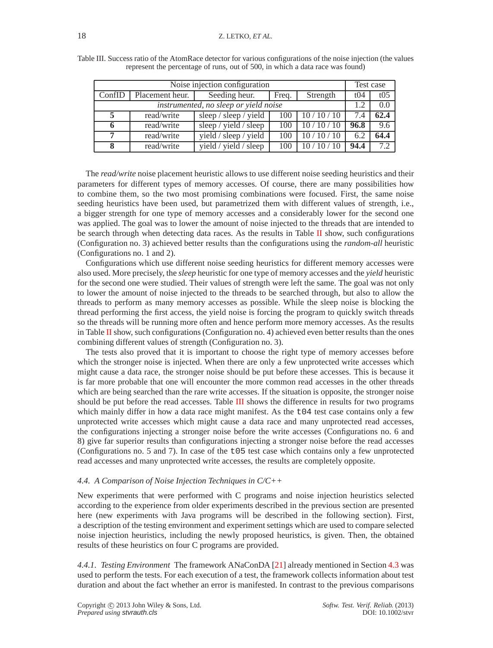<span id="page-17-1"></span>

| I<br>I<br>v.<br>٧ |
|-------------------|
|-------------------|

|        | Test case       |                       |       |          |                   |                 |
|--------|-----------------|-----------------------|-------|----------|-------------------|-----------------|
| ConfID | Placement heur. | Seeding heur.         | Freq. | Strength | $t$ <sup>04</sup> | t <sub>05</sub> |
|        | 1.2             | 0.0                   |       |          |                   |                 |
|        | read/write      | sleep / sleep / yield | 100   | 10/10/10 | 7.4               | 62.4            |
|        | read/write      | sleep / yield / sleep | 100   | 10/10/10 | 96.8              | 9.6             |
|        | read/write      | yield / sleep / yield | 100   | 10/10/10 | 6.2               | 64.4            |
|        | read/write      | yield / yield / sleep | 100   | 10/10/10 | 94.4              | 7.2             |

Table III. Success ratio of the AtomRace detector for various configurations of the noise injection (the values represent the percentage of runs, out of 500, in which a data race was found)

The *read/write* noise placement heuristic allows to use different noise seeding heuristics and their parameters for different types of memory accesses. Of course, there are many possibilities how to combine them, so the two most promising combinations were focused. First, the same noise seeding heuristics have been used, but parametrized them with different values of strength, i.e., a bigger strength for one type of memory accesses and a considerably lower for the second one was applied. The goal was to lower the amount of noise injected to the threads that are intended to be search through when detecting data races. As the results in Table [II](#page-16-1) show, such configurations (Configuration no. 3) achieved better results than the configurations using the *random-all* heuristic (Configurations no. 1 and 2).

Configurations which use different noise seeding heuristics for different memory accesses were also used. More precisely, the *sleep* heuristic for one type of memory accesses and the *yield* heuristic for the second one were studied. Their values of strength were left the same. The goal was not only to lower the amount of noise injected to the threads to be searched through, but also to allow the threads to perform as many memory accesses as possible. While the sleep noise is blocking the thread performing the first access, the yield noise is forcing the program to quickly switch threads so the threads will be running more often and hence perform more memory accesses. As the results in Table [II](#page-16-1) show, such configurations (Configuration no. 4) achieved even better results than the ones combining different values of strength (Configuration no. 3).

The tests also proved that it is important to choose the right type of memory accesses before which the stronger noise is injected. When there are only a few unprotected write accesses which might cause a data race, the stronger noise should be put before these accesses. This is because it is far more probable that one will encounter the more common read accesses in the other threads which are being searched than the rare write accesses. If the situation is opposite, the stronger noise should be put before the read accesses. Table  $III$  shows the difference in results for two programs which mainly differ in how a data race might manifest. As the t04 test case contains only a few unprotected write accesses which might cause a data race and many unprotected read accesses, the configurations injecting a stronger noise before the write accesses (Configurations no. 6 and 8) give far superior results than configurations injecting a stronger noise before the read accesses (Configurations no. 5 and 7). In case of the t05 test case which contains only a few unprotected read accesses and many unprotected write accesses, the results are completely opposite.

# <span id="page-17-0"></span>*4.4. A Comparison of Noise Injection Techniques in C/C++*

New experiments that were performed with C programs and noise injection heuristics selected according to the experience from older experiments described in the previous section are presented here (new experiments with Java programs will be described in the following section). First, a description of the testing environment and experiment settings which are used to compare selected noise injection heuristics, including the newly proposed heuristics, is given. Then, the obtained results of these heuristics on four C programs are provided.

*4.4.1. Testing Environment* The framework ANaConDA [\[21\]](#page-36-12) already mentioned in Section [4.3](#page-14-0) was used to perform the tests. For each execution of a test, the framework collects information about test duration and about the fact whether an error is manifested. In contrast to the previous comparisons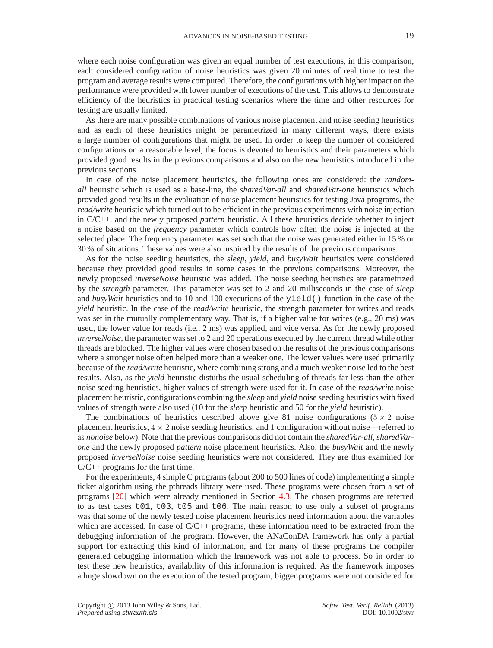where each noise configuration was given an equal number of test executions, in this comparison, each considered configuration of noise heuristics was given 20 minutes of real time to test the program and average results were computed. Therefore, the configurations with higher impact on the performance were provided with lower number of executions of the test. This allows to demonstrate efficiency of the heuristics in practical testing scenarios where the time and other resources for testing are usually limited.

As there are many possible combinations of various noise placement and noise seeding heuristics and as each of these heuristics might be parametrized in many different ways, there exists a large number of configurations that might be used. In order to keep the number of considered configurations on a reasonable level, the focus is devoted to heuristics and their parameters which provided good results in the previous comparisons and also on the new heuristics introduced in the previous sections.

In case of the noise placement heuristics, the following ones are considered: the *randomall* heuristic which is used as a base-line, the *sharedVar-all* and *sharedVar-one* heuristics which provided good results in the evaluation of noise placement heuristics for testing Java programs, the *read/write* heuristic which turned out to be efficient in the previous experiments with noise injection in C/C++, and the newly proposed *pattern* heuristic. All these heuristics decide whether to inject a noise based on the *frequency* parameter which controls how often the noise is injected at the selected place. The frequency parameter was set such that the noise was generated either in 15 % or 30 % of situations. These values were also inspired by the results of the previous comparisons.

As for the noise seeding heuristics, the *sleep*, *yield*, and *busyWait* heuristics were considered because they provided good results in some cases in the previous comparisons. Moreover, the newly proposed *inverseNoise* heuristic was added. The noise seeding heuristics are parametrized by the *strength* parameter. This parameter was set to 2 and 20 milliseconds in the case of *sleep* and *busyWait* heuristics and to 10 and 100 executions of the yield() function in the case of the *yield* heuristic. In the case of the *read/write* heuristic, the strength parameter for writes and reads was set in the mutually complementary way. That is, if a higher value for writes (e.g., 20 ms) was used, the lower value for reads (i.e., 2 ms) was applied, and vice versa. As for the newly proposed *inverseNoise*, the parameter was set to 2 and 20 operations executed by the current thread while other threads are blocked. The higher values were chosen based on the results of the previous comparisons where a stronger noise often helped more than a weaker one. The lower values were used primarily because of the *read/write* heuristic, where combining strong and a much weaker noise led to the best results. Also, as the *yield* heuristic disturbs the usual scheduling of threads far less than the other noise seeding heuristics, higher values of strength were used for it. In case of the *read/write* noise placement heuristic, configurations combining the *sleep* and *yield* noise seeding heuristics with fixed values of strength were also used (10 for the *sleep* heuristic and 50 for the *yield* heuristic).

The combinations of heuristics described above give 81 noise configurations ( $5 \times 2$  noise placement heuristics,  $4 \times 2$  noise seeding heuristics, and 1 configuration without noise—referred to as *nonoise* below). Note that the previous comparisons did not contain the *sharedVar-all*, *sharedVarone* and the newly proposed *pattern* noise placement heuristics. Also, the *busyWait* and the newly proposed *inverseNoise* noise seeding heuristics were not considered. They are thus examined for  $C/C++$  programs for the first time.

For the experiments, 4 simple C programs (about 200 to 500 lines of code) implementing a simple ticket algorithm using the pthreads library were used. These programs were chosen from a set of programs [\[20\]](#page-36-11) which were already mentioned in Section [4.3.](#page-14-0) The chosen programs are referred to as test cases t01, t03, t05 and t06. The main reason to use only a subset of programs was that some of the newly tested noise placement heuristics need information about the variables which are accessed. In case of  $C/C++$  programs, these information need to be extracted from the debugging information of the program. However, the ANaConDA framework has only a partial support for extracting this kind of information, and for many of these programs the compiler generated debugging information which the framework was not able to process. So in order to test these new heuristics, availability of this information is required. As the framework imposes a huge slowdown on the execution of the tested program, bigger programs were not considered for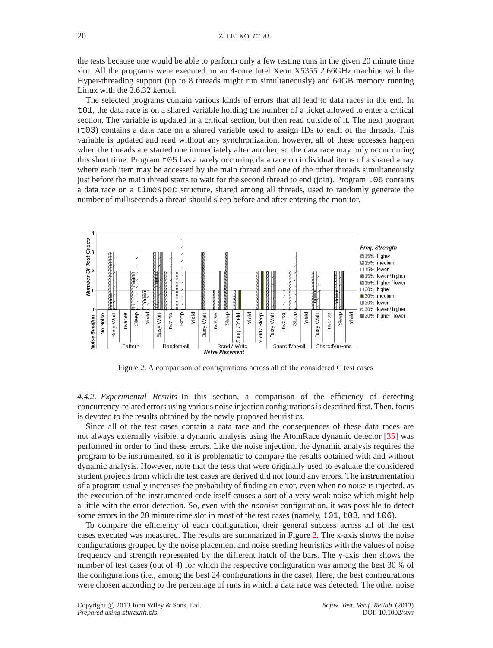the tests because one would be able to perform only a few testing runs in the given 20 minute time slot. All the programs were executed on an 4-core Intel Xeon X5355 2.66GHz machine with the Hyper-threading support (up to 8 threads might run simultaneously) and 64GB memory running Linux with the 2.6.32 kernel.

The selected programs contain various kinds of errors that all lead to data races in the end. In t01, the data race is on a shared variable holding the number of a ticket allowed to enter a critical section. The variable is updated in a critical section, but then read outside of it. The next program (t03) contains a data race on a shared variable used to assign IDs to each of the threads. This variable is updated and read without any synchronization, however, all of these accesses happen when the threads are started one immediately after another, so the data race may only occur during this short time. Program t05 has a rarely occurring data race on individual items of a shared array where each item may be accessed by the main thread and one of the other threads simultaneously just before the main thread starts to wait for the second thread to end (join). Program t06 contains a data race on a timespec structure, shared among all threads, used to randomly generate the number of milliseconds a thread should sleep before and after entering the monitor.

<span id="page-19-0"></span>

Figure 2. A comparison of configurations across all of the considered C test cases

*4.4.2. Experimental Results* In this section, a comparison of the efficiency of detecting concurrency-related errors using various noise injection configurations is described first. Then, focus is devoted to the results obtained by the newly proposed heuristics.

Since all of the test cases contain a data race and the consequences of these data races are not always externally visible, a dynamic analysis using the AtomRace dynamic detector [\[35\]](#page-36-29) was performed in order to find these errors. Like the noise injection, the dynamic analysis requires the program to be instrumented, so it is problematic to compare the results obtained with and without dynamic analysis. However, note that the tests that were originally used to evaluate the considered student projects from which the test cases are derived did not found any errors. The instrumentation of a program usually increases the probability of finding an error, even when no noise is injected, as the execution of the instrumented code itself causes a sort of a very weak noise which might help a little with the error detection. So, even with the *nonoise* configuration, it was possible to detect some errors in the 20 minute time slot in most of the test cases (namely,  $\text{\textsterling}01$ ,  $\text{\textsterling}03$ , and  $\text{\textsterling}06$ ).

To compare the efficiency of each configuration, their general success across all of the test cases executed was measured. The results are summarized in Figure [2.](#page-19-0) The x-axis shows the noise configurations grouped by the noise placement and noise seeding heuristics with the values of noise frequency and strength represented by the different hatch of the bars. The y-axis then shows the number of test cases (out of 4) for which the respective configuration was among the best 30 % of the configurations (i.e., among the best 24 configurations in the case). Here, the best configurations were chosen according to the percentage of runs in which a data race was detected. The other noise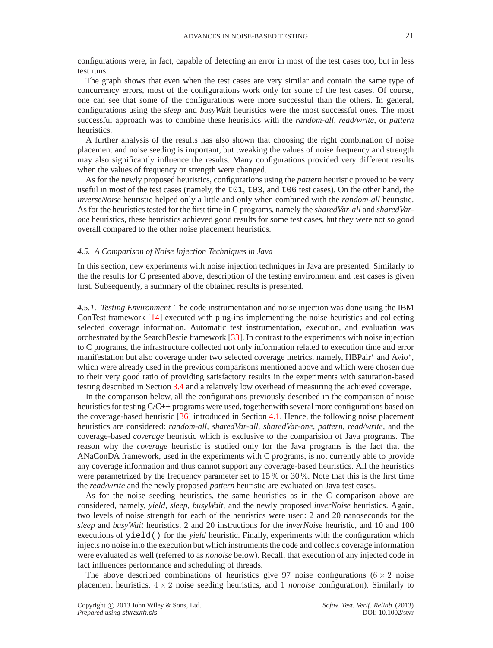configurations were, in fact, capable of detecting an error in most of the test cases too, but in less test runs.

The graph shows that even when the test cases are very similar and contain the same type of concurrency errors, most of the configurations work only for some of the test cases. Of course, one can see that some of the configurations were more successful than the others. In general, configurations using the *sleep* and *busyWait* heuristics were the most successful ones. The most successful approach was to combine these heuristics with the *random-all*, *read/write*, or *pattern* heuristics.

A further analysis of the results has also shown that choosing the right combination of noise placement and noise seeding is important, but tweaking the values of noise frequency and strength may also significantly influence the results. Many configurations provided very different results when the values of frequency or strength were changed.

As for the newly proposed heuristics, configurations using the *pattern* heuristic proved to be very useful in most of the test cases (namely, the t01, t03, and t06 test cases). On the other hand, the *inverseNoise* heuristic helped only a little and only when combined with the *random-all* heuristic. As for the heuristics tested for the first time in C programs, namely the *sharedVar-all* and *sharedVarone* heuristics, these heuristics achieved good results for some test cases, but they were not so good overall compared to the other noise placement heuristics.

#### <span id="page-20-0"></span>*4.5. A Comparison of Noise Injection Techniques in Java*

In this section, new experiments with noise injection techniques in Java are presented. Similarly to the the results for C presented above, description of the testing environment and test cases is given first. Subsequently, a summary of the obtained results is presented.

<span id="page-20-1"></span>*4.5.1. Testing Environment* The code instrumentation and noise injection was done using the IBM ConTest framework [\[14\]](#page-36-4) executed with plug-ins implementing the noise heuristics and collecting selected coverage information. Automatic test instrumentation, execution, and evaluation was orchestrated by the SearchBestie framework [\[33\]](#page-36-15). In contrast to the experiments with noise injection to C programs, the infrastructure collected not only information related to execution time and error manifestation but also coverage under two selected coverage metrics, namely, HBPair\* and Avio\*, which were already used in the previous comparisons mentioned above and which were chosen due to their very good ratio of providing satisfactory results in the experiments with saturation-based testing described in Section [3.4](#page-9-1) and a relatively low overhead of measuring the achieved coverage.

In the comparison below, all the configurations previously described in the comparison of noise heuristics for testing C/C++ programs were used, together with several more configurations based on the coverage-based heuristic [\[36\]](#page-36-9) introduced in Section [4.1.](#page-12-0) Hence, the following noise placement heuristics are considered: *random-all*, *sharedVar-all*, *sharedVar-one*, *pattern*, *read/write*, and the coverage-based *coverage* heuristic which is exclusive to the comparision of Java programs. The reason why the *coverage* heuristic is studied only for the Java programs is the fact that the ANaConDA framework, used in the experiments with C programs, is not currently able to provide any coverage information and thus cannot support any coverage-based heuristics. All the heuristics were parametrized by the frequency parameter set to 15 % or 30 %. Note that this is the first time the *read/write* and the newly proposed *pattern* heuristic are evaluated on Java test cases.

As for the noise seeding heuristics, the same heuristics as in the C comparison above are considered, namely, *yield*, *sleep*, *busyWait*, and the newly proposed *inverNoise* heuristics. Again, two levels of noise strength for each of the heuristics were used: 2 and 20 nanoseconds for the *sleep* and *busyWait* heuristics, 2 and 20 instructions for the *inverNoise* heuristic, and 10 and 100 executions of yield() for the *yield* heuristic. Finally, experiments with the configuration which injects no noise into the execution but which instruments the code and collects coverage information were evaluated as well (referred to as *nonoise* below). Recall, that execution of any injected code in fact influences performance and scheduling of threads.

The above described combinations of heuristics give 97 noise configurations ( $6 \times 2$  noise placement heuristics,  $4 \times 2$  noise seeding heuristics, and 1 *nonoise* configuration). Similarly to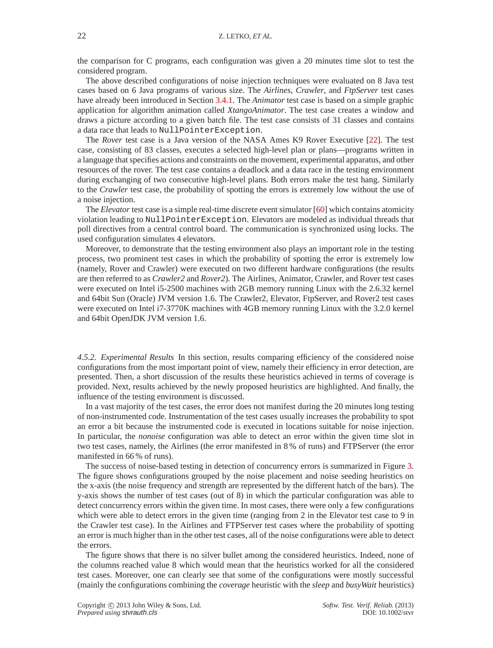the comparison for C programs, each configuration was given a 20 minutes time slot to test the considered program.

The above described configurations of noise injection techniques were evaluated on 8 Java test cases based on 6 Java programs of various size. The *Airlines*, *Crawler*, and *FtpServer* test cases have already been introduced in Section [3.4.1.](#page-9-0) The *Animator* test case is based on a simple graphic application for algorithm animation called *XtangoAnimator*. The test case creates a window and draws a picture according to a given batch file. The test case consists of 31 classes and contains a data race that leads to NullPointerException.

The *Rover* test case is a Java version of the NASA Ames K9 Rover Executive [\[22\]](#page-36-30). The test case, consisting of 83 classes, executes a selected high-level plan or plans—programs written in a language that specifies actions and constraints on the movement, experimental apparatus, and other resources of the rover. The test case contains a deadlock and a data race in the testing environment during exchanging of two consecutive high-level plans. Both errors make the test hang. Similarly to the *Crawler* test case, the probability of spotting the errors is extremely low without the use of a noise injection.

The *Elevator* test case is a simple real-time discrete event simulator [\[60\]](#page-37-11) which contains atomicity violation leading to NullPointerException. Elevators are modeled as individual threads that poll directives from a central control board. The communication is synchronized using locks. The used configuration simulates 4 elevators.

Moreover, to demonstrate that the testing environment also plays an important role in the testing process, two prominent test cases in which the probability of spotting the error is extremely low (namely, Rover and Crawler) were executed on two different hardware configurations (the results are then referred to as *Crawler2* and *Rover2*). The Airlines, Animator, Crawler, and Rover test cases were executed on Intel i5-2500 machines with 2GB memory running Linux with the 2.6.32 kernel and 64bit Sun (Oracle) JVM version 1.6. The Crawler2, Elevator, FtpServer, and Rover2 test cases were executed on Intel i7-3770K machines with 4GB memory running Linux with the 3.2.0 kernel and 64bit OpenJDK JVM version 1.6.

*4.5.2. Experimental Results* In this section, results comparing efficiency of the considered noise configurations from the most important point of view, namely their efficiency in error detection, are presented. Then, a short discussion of the results these heuristics achieved in terms of coverage is provided. Next, results achieved by the newly proposed heuristics are highlighted. And finally, the influence of the testing environment is discussed.

In a vast majority of the test cases, the error does not manifest during the 20 minutes long testing of non-instrumented code. Instrumentation of the test cases usually increases the probability to spot an error a bit because the instrumented code is executed in locations suitable for noise injection. In particular, the *nonoise* configuration was able to detect an error within the given time slot in two test cases, namely, the Airlines (the error manifested in 8 % of runs) and FTPServer (the error manifested in 66 % of runs).

The success of noise-based testing in detection of concurrency errors is summarized in Figure [3.](#page-22-0) The figure shows configurations grouped by the noise placement and noise seeding heuristics on the x-axis (the noise frequency and strength are represented by the different hatch of the bars). The y-axis shows the number of test cases (out of 8) in which the particular configuration was able to detect concurrency errors within the given time. In most cases, there were only a few configurations which were able to detect errors in the given time (ranging from 2 in the Elevator test case to 9 in the Crawler test case). In the Airlines and FTPServer test cases where the probability of spotting an error is much higher than in the other test cases, all of the noise configurations were able to detect the errors.

The figure shows that there is no silver bullet among the considered heuristics. Indeed, none of the columns reached value 8 which would mean that the heuristics worked for all the considered test cases. Moreover, one can clearly see that some of the configurations were mostly successful (mainly the configurations combining the *coverage* heuristic with the *sleep* and *busyWait* heuristics)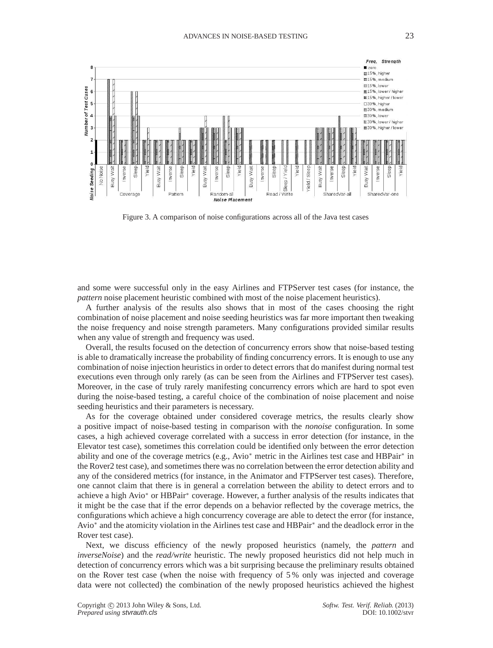<span id="page-22-0"></span>

Figure 3. A comparison of noise configurations across all of the Java test cases

and some were successful only in the easy Airlines and FTPServer test cases (for instance, the *pattern* noise placement heuristic combined with most of the noise placement heuristics).

A further analysis of the results also shows that in most of the cases choosing the right combination of noise placement and noise seeding heuristics was far more important then tweaking the noise frequency and noise strength parameters. Many configurations provided similar results when any value of strength and frequency was used.

Overall, the results focused on the detection of concurrency errors show that noise-based testing is able to dramatically increase the probability of finding concurrency errors. It is enough to use any combination of noise injection heuristics in order to detect errors that do manifest during normal test executions even through only rarely (as can be seen from the Airlines and FTPServer test cases). Moreover, in the case of truly rarely manifesting concurrency errors which are hard to spot even during the noise-based testing, a careful choice of the combination of noise placement and noise seeding heuristics and their parameters is necessary.

As for the coverage obtained under considered coverage metrics, the results clearly show a positive impact of noise-based testing in comparison with the *nonoise* configuration. In some cases, a high achieved coverage correlated with a success in error detection (for instance, in the Elevator test case), sometimes this correlation could be identified only between the error detection ability and one of the coverage metrics (e.g., Avio<sup>∗</sup> metric in the Airlines test case and HBPair<sup>∗</sup> in the Rover2 test case), and sometimes there was no correlation between the error detection ability and any of the considered metrics (for instance, in the Animator and FTPServer test cases). Therefore, one cannot claim that there is in general a correlation between the ability to detect errors and to achieve a high Avio<sup>∗</sup> or HBPair<sup>∗</sup> coverage. However, a further analysis of the results indicates that it might be the case that if the error depends on a behavior reflected by the coverage metrics, the configurations which achieve a high concurrency coverage are able to detect the error (for instance, Avio<sup>∗</sup> and the atomicity violation in the Airlines test case and HBPair<sup>∗</sup> and the deadlock error in the Rover test case).

Next, we discuss efficiency of the newly proposed heuristics (namely, the *pattern* and *inverseNoise*) and the *read/write* heuristic. The newly proposed heuristics did not help much in detection of concurrency errors which was a bit surprising because the preliminary results obtained on the Rover test case (when the noise with frequency of 5 % only was injected and coverage data were not collected) the combination of the newly proposed heuristics achieved the highest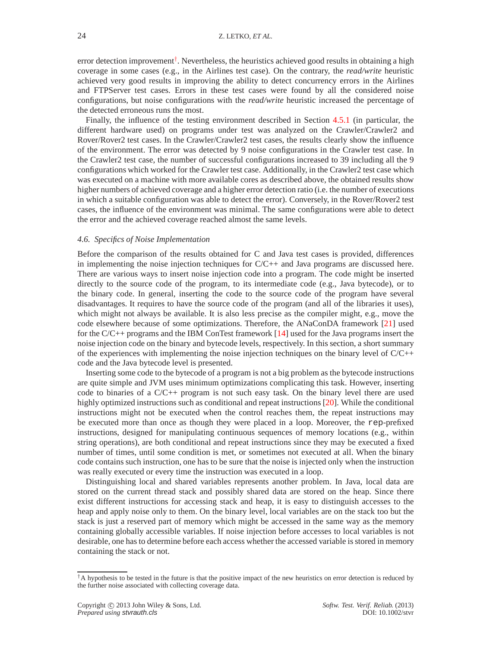error detection improvement<sup>[†](#page-23-1)</sup>. Nevertheless, the heuristics achieved good results in obtaining a high coverage in some cases (e.g., in the Airlines test case). On the contrary, the *read/write* heuristic achieved very good results in improving the ability to detect concurrency errors in the Airlines and FTPServer test cases. Errors in these test cases were found by all the considered noise configurations, but noise configurations with the *read/write* heuristic increased the percentage of the detected erroneous runs the most.

Finally, the influence of the testing environment described in Section [4.5.1](#page-20-1) (in particular, the different hardware used) on programs under test was analyzed on the Crawler/Crawler2 and Rover/Rover2 test cases. In the Crawler/Crawler2 test cases, the results clearly show the influence of the environment. The error was detected by 9 noise configurations in the Crawler test case. In the Crawler2 test case, the number of successful configurations increased to 39 including all the 9 configurations which worked for the Crawler test case. Additionally, in the Crawler2 test case which was executed on a machine with more available cores as described above, the obtained results show higher numbers of achieved coverage and a higher error detection ratio (i.e. the number of executions in which a suitable configuration was able to detect the error). Conversely, in the Rover/Rover2 test cases, the influence of the environment was minimal. The same configurations were able to detect the error and the achieved coverage reached almost the same levels.

#### <span id="page-23-0"></span>*4.6. Specifics of Noise Implementation*

Before the comparison of the results obtained for C and Java test cases is provided, differences in implementing the noise injection techniques for  $C/C++$  and Java programs are discussed here. There are various ways to insert noise injection code into a program. The code might be inserted directly to the source code of the program, to its intermediate code (e.g., Java bytecode), or to the binary code. In general, inserting the code to the source code of the program have several disadvantages. It requires to have the source code of the program (and all of the libraries it uses), which might not always be available. It is also less precise as the compiler might, e.g., move the code elsewhere because of some optimizations. Therefore, the ANaConDA framework [\[21\]](#page-36-12) used for the C/C++ programs and the IBM ConTest framework [\[14\]](#page-36-4) used for the Java programs insert the noise injection code on the binary and bytecode levels, respectively. In this section, a short summary of the experiences with implementing the noise injection techniques on the binary level of  $C/C++$ code and the Java bytecode level is presented.

Inserting some code to the bytecode of a program is not a big problem as the bytecode instructions are quite simple and JVM uses minimum optimizations complicating this task. However, inserting code to binaries of a  $C/C++$  program is not such easy task. On the binary level there are used highly optimized instructions such as conditional and repeat instructions [\[20\]](#page-36-11). While the conditional instructions might not be executed when the control reaches them, the repeat instructions may be executed more than once as though they were placed in a loop. Moreover, the rep-prefixed instructions, designed for manipulating continuous sequences of memory locations (e.g., within string operations), are both conditional and repeat instructions since they may be executed a fixed number of times, until some condition is met, or sometimes not executed at all. When the binary code contains such instruction, one has to be sure that the noise is injected only when the instruction was really executed or every time the instruction was executed in a loop.

Distinguishing local and shared variables represents another problem. In Java, local data are stored on the current thread stack and possibly shared data are stored on the heap. Since there exist different instructions for accessing stack and heap, it is easy to distinguish accesses to the heap and apply noise only to them. On the binary level, local variables are on the stack too but the stack is just a reserved part of memory which might be accessed in the same way as the memory containing globally accessible variables. If noise injection before accesses to local variables is not desirable, one has to determine before each access whether the accessed variable is stored in memory containing the stack or not.

<span id="page-23-1"></span><sup>†</sup>A hypothesis to be tested in the future is that the positive impact of the new heuristics on error detection is reduced by the further noise associated with collecting coverage data.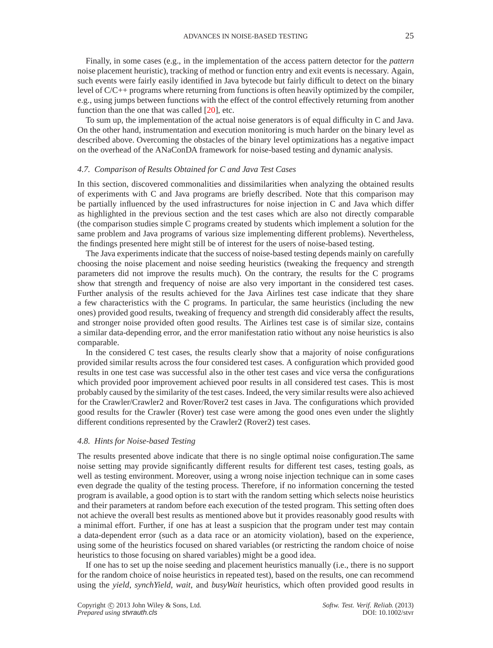Finally, in some cases (e.g., in the implementation of the access pattern detector for the *pattern* noise placement heuristic), tracking of method or function entry and exit events is necessary. Again, such events were fairly easily identified in Java bytecode but fairly difficult to detect on the binary level of C/C++ programs where returning from functions is often heavily optimized by the compiler, e.g., using jumps between functions with the effect of the control effectively returning from another function than the one that was called [\[20\]](#page-36-11), etc.

To sum up, the implementation of the actual noise generators is of equal difficulty in C and Java. On the other hand, instrumentation and execution monitoring is much harder on the binary level as described above. Overcoming the obstacles of the binary level optimizations has a negative impact on the overhead of the ANaConDA framework for noise-based testing and dynamic analysis.

# <span id="page-24-0"></span>*4.7. Comparison of Results Obtained for C and Java Test Cases*

In this section, discovered commonalities and dissimilarities when analyzing the obtained results of experiments with C and Java programs are briefly described. Note that this comparison may be partially influenced by the used infrastructures for noise injection in C and Java which differ as highlighted in the previous section and the test cases which are also not directly comparable (the comparison studies simple C programs created by students which implement a solution for the same problem and Java programs of various size implementing different problems). Nevertheless, the findings presented here might still be of interest for the users of noise-based testing.

The Java experiments indicate that the success of noise-based testing depends mainly on carefully choosing the noise placement and noise seeding heuristics (tweaking the frequency and strength parameters did not improve the results much). On the contrary, the results for the C programs show that strength and frequency of noise are also very important in the considered test cases. Further analysis of the results achieved for the Java Airlines test case indicate that they share a few characteristics with the C programs. In particular, the same heuristics (including the new ones) provided good results, tweaking of frequency and strength did considerably affect the results, and stronger noise provided often good results. The Airlines test case is of similar size, contains a similar data-depending error, and the error manifestation ratio without any noise heuristics is also comparable.

In the considered C test cases, the results clearly show that a majority of noise configurations provided similar results across the four considered test cases. A configuration which provided good results in one test case was successful also in the other test cases and vice versa the configurations which provided poor improvement achieved poor results in all considered test cases. This is most probably caused by the similarity of the test cases. Indeed, the very similar results were also achieved for the Crawler/Crawler2 and Rover/Rover2 test cases in Java. The configurations which provided good results for the Crawler (Rover) test case were among the good ones even under the slightly different conditions represented by the Crawler2 (Rover2) test cases.

# <span id="page-24-1"></span>*4.8. Hints for Noise-based Testing*

The results presented above indicate that there is no single optimal noise configuration.The same noise setting may provide significantly different results for different test cases, testing goals, as well as testing environment. Moreover, using a wrong noise injection technique can in some cases even degrade the quality of the testing process. Therefore, if no information concerning the tested program is available, a good option is to start with the random setting which selects noise heuristics and their parameters at random before each execution of the tested program. This setting often does not achieve the overall best results as mentioned above but it provides reasonably good results with a minimal effort. Further, if one has at least a suspicion that the program under test may contain a data-dependent error (such as a data race or an atomicity violation), based on the experience, using some of the heuristics focused on shared variables (or restricting the random choice of noise heuristics to those focusing on shared variables) might be a good idea.

If one has to set up the noise seeding and placement heuristics manually (i.e., there is no support for the random choice of noise heuristics in repeated test), based on the results, one can recommend using the *yield*, *synchYield*, *wait*, and *busyWait* heuristics, which often provided good results in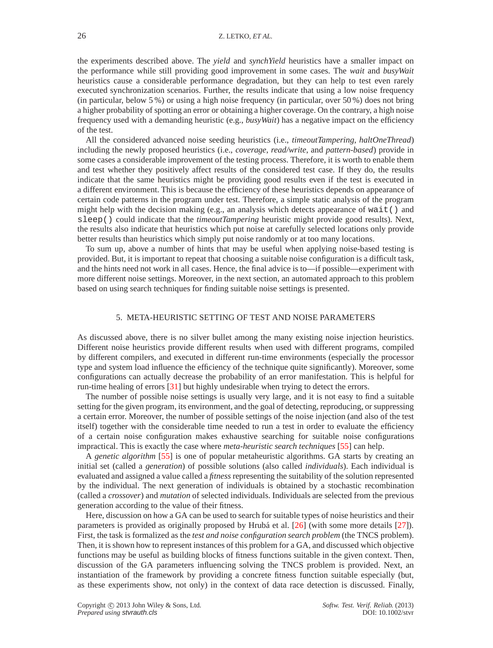the experiments described above. The *yield* and *synchYield* heuristics have a smaller impact on the performance while still providing good improvement in some cases. The *wait* and *busyWait* heuristics cause a considerable performance degradation, but they can help to test even rarely executed synchronization scenarios. Further, the results indicate that using a low noise frequency (in particular, below 5 %) or using a high noise frequency (in particular, over 50 %) does not bring a higher probability of spotting an error or obtaining a higher coverage. On the contrary, a high noise frequency used with a demanding heuristic (e.g., *busyWait*) has a negative impact on the efficiency of the test.

All the considered advanced noise seeding heuristics (i.e., *timeoutTampering*, *haltOneThread*) including the newly proposed heuristics (i.e., *coverage*, *read/write*, and *pattern-based*) provide in some cases a considerable improvement of the testing process. Therefore, it is worth to enable them and test whether they positively affect results of the considered test case. If they do, the results indicate that the same heuristics might be providing good results even if the test is executed in a different environment. This is because the efficiency of these heuristics depends on appearance of certain code patterns in the program under test. Therefore, a simple static analysis of the program might help with the decision making (e.g., an analysis which detects appearance of wait() and sleep() could indicate that the *timeoutTampering* heuristic might provide good results). Next, the results also indicate that heuristics which put noise at carefully selected locations only provide better results than heuristics which simply put noise randomly or at too many locations.

To sum up, above a number of hints that may be useful when applying noise-based testing is provided. But, it is important to repeat that choosing a suitable noise configuration is a difficult task, and the hints need not work in all cases. Hence, the final advice is to—if possible—experiment with more different noise settings. Moreover, in the next section, an automated approach to this problem based on using search techniques for finding suitable noise settings is presented.

# 5. META-HEURISTIC SETTING OF TEST AND NOISE PARAMETERS

<span id="page-25-0"></span>As discussed above, there is no silver bullet among the many existing noise injection heuristics. Different noise heuristics provide different results when used with different programs, compiled by different compilers, and executed in different run-time environments (especially the processor type and system load influence the efficiency of the technique quite significantly). Moreover, some configurations can actually decrease the probability of an error manifestation. This is helpful for run-time healing of errors [\[31\]](#page-36-27) but highly undesirable when trying to detect the errors.

The number of possible noise settings is usually very large, and it is not easy to find a suitable setting for the given program, its environment, and the goal of detecting, reproducing, or suppressing a certain error. Moreover, the number of possible settings of the noise injection (and also of the test itself) together with the considerable time needed to run a test in order to evaluate the efficiency of a certain noise configuration makes exhaustive searching for suitable noise configurations impractical. This is exactly the case where *meta-heuristic search techniques* [\[55\]](#page-37-15) can help.

A *genetic algorithm* [\[55\]](#page-37-15) is one of popular metaheuristic algorithms. GA starts by creating an initial set (called a *generation*) of possible solutions (also called *individuals*). Each individual is evaluated and assigned a value called a *fitness* representing the suitability of the solution represented by the individual. The next generation of individuals is obtained by a stochastic recombination (called a *crossover*) and *mutation* of selected individuals. Individuals are selected from the previous generation according to the value of their fitness.

Here, discussion on how a GA can be used to search for suitable types of noise heuristics and their parameters is provided as originally proposed by Hrubá et al. [\[26\]](#page-36-13) (with some more details [\[27\]](#page-36-31)). First, the task is formalized as the *test and noise configuration search problem* (the TNCS problem). Then, it is shown how to represent instances of this problem for a GA, and discussed which objective functions may be useful as building blocks of fitness functions suitable in the given context. Then, discussion of the GA parameters influencing solving the TNCS problem is provided. Next, an instantiation of the framework by providing a concrete fitness function suitable especially (but, as these experiments show, not only) in the context of data race detection is discussed. Finally,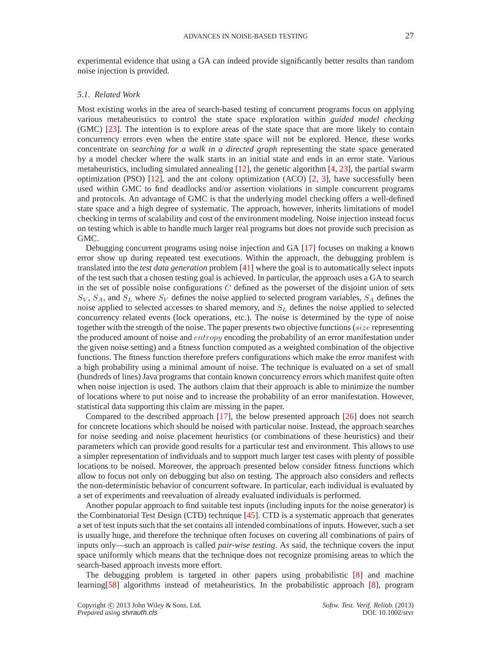experimental evidence that using a GA can indeed provide significantly better results than random noise injection is provided.

# *5.1. Related Work*

Most existing works in the area of search-based testing of concurrent programs focus on applying various metaheuristics to control the state space exploration within *guided model checking* (GMC) [\[23\]](#page-36-32). The intention is to explore areas of the state space that are more likely to contain concurrency errors even when the entire state space will not be explored. Hence, these works concentrate on *searching for a walk in a directed graph* representing the state space generated by a model checker where the walk starts in an initial state and ends in an error state. Various metaheuristics, including simulated annealing [\[12\]](#page-36-33), the genetic algorithm [\[4,](#page-35-5) [23\]](#page-36-32), the partial swarm optimization (PSO)  $[12]$ , and the ant colony optimization (ACO)  $[2, 3]$  $[2, 3]$ , have successfully been used within GMC to find deadlocks and/or assertion violations in simple concurrent programs and protocols. An advantage of GMC is that the underlying model checking offers a well-defined state space and a high degree of systematic. The approach, however, inherits limitations of model checking in terms of scalability and cost of the environment modeling. Noise injection instead focus on testing which is able to handle much larger real programs but does not provide such precision as GMC.

Debugging concurrent programs using noise injection and GA [\[17\]](#page-36-34) focuses on making a known error show up during repeated test executions. Within the approach, the debugging problem is translated into the *test data generation* problem [\[41\]](#page-36-24) where the goal is to automatically select inputs of the test such that a chosen testing goal is achieved. In particular, the approach uses a GA to search in the set of possible noise configurations  $C$  defined as the powerset of the disjoint union of sets  $S_V$ ,  $S_A$ , and  $S_L$  where  $S_V$  defines the noise applied to selected program variables,  $S_A$  defines the noise applied to selected accesses to shared memory, and  $S_L$  defines the noise applied to selected concurrency related events (lock operations, etc.). The noise is determined by the type of noise together with the strength of the noise. The paper presents two objective functions ( $size$  representing the produced amount of noise and *entropy* encoding the probability of an error manifestation under the given noise setting) and a fitness function computed as a weighted combination of the objective functions. The fitness function therefore prefers configurations which make the error manifest with a high probability using a minimal amount of noise. The technique is evaluated on a set of small (hundreds of lines) Java programs that contain known concurrency errors which manifest quite often when noise injection is used. The authors claim that their approach is able to minimize the number of locations where to put noise and to increase the probability of an error manifestation. However, statistical data supporting this claim are missing in the paper.

Compared to the described approach [\[17\]](#page-36-34), the below presented approach [\[26\]](#page-36-13) does not search for concrete locations which should be noised with particular noise. Instead, the approach searches for noise seeding and noise placement heuristics (or combinations of these heuristics) and their parameters which can provide good results for a particular test and environment. This allows to use a simpler representation of individuals and to support much larger test cases with plenty of possible locations to be noised. Moreover, the approach presented below consider fitness functions which allow to focus not only on debugging but also on testing. The approach also considers and reflects the non-deterministic behavior of concurrent software. In particular, each individual is evaluated by a set of experiments and reevaluation of already evaluated individuals is performed.

Another popular approach to find suitable test inputs (including inputs for the noise generator) is the Combinatorial Test Design (CTD) technique [\[45\]](#page-36-35). CTD is a systematic approach that generates a set of test inputs such that the set contains all intended combinations of inputs. However, such a set is usually huge, and therefore the technique often focuses on covering all combinations of pairs of inputs only—such an approach is called *pair-wise testing*. As said, the technique covers the input space uniformly which means that the technique does not recognize promising areas to which the search-based approach invests more effort.

The debugging problem is targeted in other papers using probabilistic [\[8\]](#page-35-8) and machine learning[\[58\]](#page-37-16) algorithms instead of metaheuristics. In the probabilistic approach [\[8\]](#page-35-8), program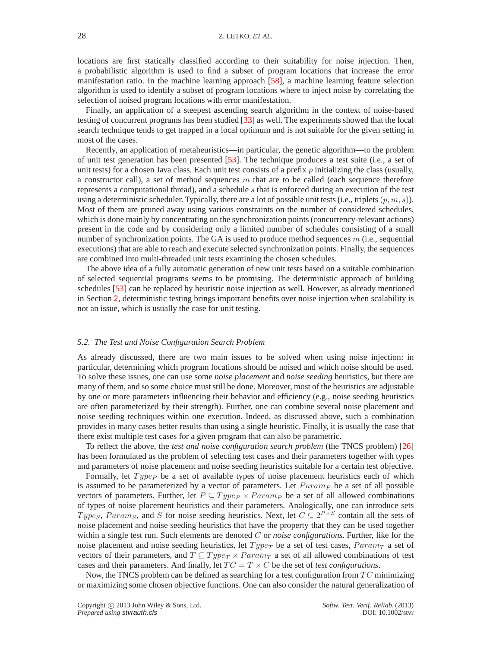locations are first statically classified according to their suitability for noise injection. Then, a probabilistic algorithm is used to find a subset of program locations that increase the error manifestation ratio. In the machine learning approach [\[58\]](#page-37-16), a machine learning feature selection algorithm is used to identify a subset of program locations where to inject noise by correlating the selection of noised program locations with error manifestation.

Finally, an application of a steepest ascending search algorithm in the context of noise-based testing of concurrent programs has been studied [\[33\]](#page-36-15) as well. The experiments showed that the local search technique tends to get trapped in a local optimum and is not suitable for the given setting in most of the cases.

Recently, an application of metaheuristics—in particular, the genetic algorithm—to the problem of unit test generation has been presented [\[53\]](#page-37-17). The technique produces a test suite (i.e., a set of unit tests) for a chosen Java class. Each unit test consists of a prefix  $p$  initializing the class (usually, a constructor call), a set of method sequences  $m$  that are to be called (each sequence therefore represents a computational thread), and a schedule s that is enforced during an execution of the test using a deterministic scheduler. Typically, there are a lot of possible unit tests (i.e., triplets  $(p, m, s)$ ). Most of them are pruned away using various constraints on the number of considered schedules, which is done mainly by concentrating on the synchronization points (concurrency-relevant actions) present in the code and by considering only a limited number of schedules consisting of a small number of synchronization points. The GA is used to produce method sequences  $m$  (i.e., sequential executions) that are able to reach and execute selected synchronization points. Finally, the sequences are combined into multi-threaded unit tests examining the chosen schedules.

The above idea of a fully automatic generation of new unit tests based on a suitable combination of selected sequential programs seems to be promising. The deterministic approach of building schedules [\[53\]](#page-37-17) can be replaced by heuristic noise injection as well. However, as already mentioned in Section [2,](#page-2-0) deterministic testing brings important benefits over noise injection when scalability is not an issue, which is usually the case for unit testing.

# *5.2. The Test and Noise Configuration Search Problem*

As already discussed, there are two main issues to be solved when using noise injection: in particular, determining which program locations should be noised and which noise should be used. To solve these issues, one can use some *noise placement* and *noise seeding* heuristics, but there are many of them, and so some choice must still be done. Moreover, most of the heuristics are adjustable by one or more parameters influencing their behavior and efficiency (e.g., noise seeding heuristics are often parameterized by their strength). Further, one can combine several noise placement and noise seeding techniques within one execution. Indeed, as discussed above, such a combination provides in many cases better results than using a single heuristic. Finally, it is usually the case that there exist multiple test cases for a given program that can also be parametric.

To reflect the above, the *test and noise configuration search problem* (the TNCS problem) [\[26\]](#page-36-13) has been formulated as the problem of selecting test cases and their parameters together with types and parameters of noise placement and noise seeding heuristics suitable for a certain test objective.

Formally, let  $Type<sub>P</sub>$  be a set of available types of noise placement heuristics each of which is assumed to be parameterized by a vector of parameters. Let  $Param_P$  be a set of all possible vectors of parameters. Further, let  $P \subseteq Type_P \times Param_P$  be a set of all allowed combinations of types of noise placement heuristics and their parameters. Analogically, one can introduce sets Type<sub>S</sub>, Param<sub>S</sub>, and S for noise seeding heuristics. Next, let  $C \subseteq 2^{P \times S}$  contain all the sets of noise placement and noise seeding heuristics that have the property that they can be used together within a single test run. Such elements are denoted C or *noise configurations*. Further, like for the noise placement and noise seeding heuristics, let  $Type_T$  be a set of test cases,  $Param_T$  a set of vectors of their parameters, and  $T \subseteq Type_T \times Param_T$  a set of all allowed combinations of test cases and their parameters. And finally, let  $TC = T \times C$  be the set of *test configurations*.

Now, the TNCS problem can be defined as searching for a test configuration from  $TC$  minimizing or maximizing some chosen objective functions. One can also consider the natural generalization of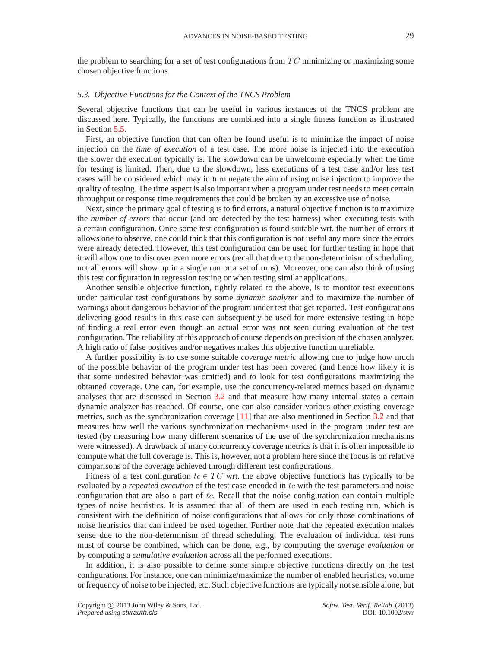the problem to searching for a *set* of test configurations from TC minimizing or maximizing some chosen objective functions.

# <span id="page-28-0"></span>*5.3. Objective Functions for the Context of the TNCS Problem*

Several objective functions that can be useful in various instances of the TNCS problem are discussed here. Typically, the functions are combined into a single fitness function as illustrated in Section [5.5.](#page-31-0)

First, an objective function that can often be found useful is to minimize the impact of noise injection on the *time of execution* of a test case. The more noise is injected into the execution the slower the execution typically is. The slowdown can be unwelcome especially when the time for testing is limited. Then, due to the slowdown, less executions of a test case and/or less test cases will be considered which may in turn negate the aim of using noise injection to improve the quality of testing. The time aspect is also important when a program under test needs to meet certain throughput or response time requirements that could be broken by an excessive use of noise.

Next, since the primary goal of testing is to find errors, a natural objective function is to maximize the *number of errors* that occur (and are detected by the test harness) when executing tests with a certain configuration. Once some test configuration is found suitable wrt. the number of errors it allows one to observe, one could think that this configuration is not useful any more since the errors were already detected. However, this test configuration can be used for further testing in hope that it will allow one to discover even more errors (recall that due to the non-determinism of scheduling, not all errors will show up in a single run or a set of runs). Moreover, one can also think of using this test configuration in regression testing or when testing similar applications.

Another sensible objective function, tightly related to the above, is to monitor test executions under particular test configurations by some *dynamic analyzer* and to maximize the number of warnings about dangerous behavior of the program under test that get reported. Test configurations delivering good results in this case can subsequently be used for more extensive testing in hope of finding a real error even though an actual error was not seen during evaluation of the test configuration. The reliability of this approach of course depends on precision of the chosen analyzer. A high ratio of false positives and/or negatives makes this objective function unreliable.

A further possibility is to use some suitable *coverage metric* allowing one to judge how much of the possible behavior of the program under test has been covered (and hence how likely it is that some undesired behavior was omitted) and to look for test configurations maximizing the obtained coverage. One can, for example, use the concurrency-related metrics based on dynamic analyses that are discussed in Section [3.2](#page-6-0) and that measure how many internal states a certain dynamic analyzer has reached. Of course, one can also consider various other existing coverage metrics, such as the synchronization coverage [\[11\]](#page-36-10) that are also mentioned in Section [3.2](#page-6-0) and that measures how well the various synchronization mechanisms used in the program under test are tested (by measuring how many different scenarios of the use of the synchronization mechanisms were witnessed). A drawback of many concurrency coverage metrics is that it is often impossible to compute what the full coverage is. This is, however, not a problem here since the focus is on relative comparisons of the coverage achieved through different test configurations.

Fitness of a test configuration  $tc \in TC$  wrt. the above objective functions has typically to be evaluated by a *repeated execution* of the test case encoded in tc with the test parameters and noise configuration that are also a part of  $tc$ . Recall that the noise configuration can contain multiple types of noise heuristics. It is assumed that all of them are used in each testing run, which is consistent with the definition of noise configurations that allows for only those combinations of noise heuristics that can indeed be used together. Further note that the repeated execution makes sense due to the non-determinism of thread scheduling. The evaluation of individual test runs must of course be combined, which can be done, e.g., by computing the *average evaluation* or by computing a *cumulative evaluation* across all the performed executions.

In addition, it is also possible to define some simple objective functions directly on the test configurations. For instance, one can minimize/maximize the number of enabled heuristics, volume or frequency of noise to be injected, etc. Such objective functions are typically not sensible alone, but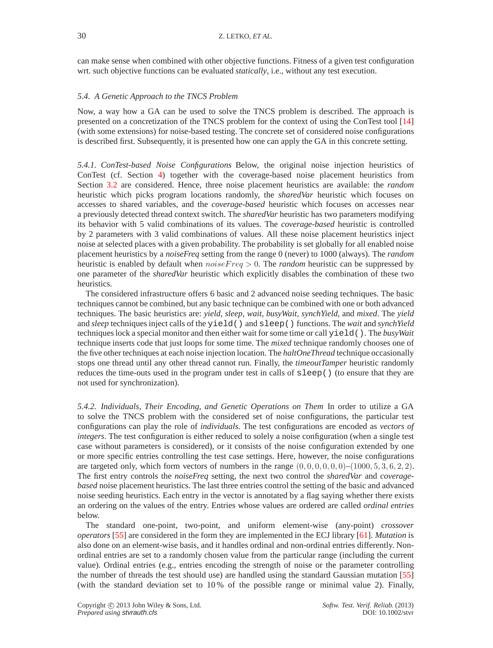can make sense when combined with other objective functions. Fitness of a given test configuration wrt. such objective functions can be evaluated *statically*, i.e., without any test execution.

# *5.4. A Genetic Approach to the TNCS Problem*

Now, a way how a GA can be used to solve the TNCS problem is described. The approach is presented on a concretization of the TNCS problem for the context of using the ConTest tool [\[14\]](#page-36-4) (with some extensions) for noise-based testing. The concrete set of considered noise configurations is described first. Subsequently, it is presented how one can apply the GA in this concrete setting.

*5.4.1. ConTest-based Noise Configurations* Below, the original noise injection heuristics of ConTest (cf. Section [4\)](#page-11-0) together with the coverage-based noise placement heuristics from Section [3.2](#page-6-0) are considered. Hence, three noise placement heuristics are available: the *random* heuristic which picks program locations randomly, the *sharedVar* heuristic which focuses on accesses to shared variables, and the *coverage-based* heuristic which focuses on accesses near a previously detected thread context switch. The *sharedVar* heuristic has two parameters modifying its behavior with 5 valid combinations of its values. The *coverage-based* heuristic is controlled by 2 parameters with 3 valid combinations of values. All these noise placement heuristics inject noise at selected places with a given probability. The probability is set globally for all enabled noise placement heuristics by a *noiseFreq* setting from the range 0 (never) to 1000 (always). The *random* heuristic is enabled by default when *noiseFreq* > 0. The *random* heuristic can be suppressed by one parameter of the *sharedVar* heuristic which explicitly disables the combination of these two heuristics.

The considered infrastructure offers 6 basic and 2 advanced noise seeding techniques. The basic techniques cannot be combined, but any basic technique can be combined with one or both advanced techniques. The basic heuristics are: *yield*, *sleep*, *wait*, *busyWait*, *synchYield*, and *mixed*. The *yield* and *sleep* techniques inject calls of the yield() and sleep() functions. The *wait* and *synchYield* techniques lock a special monitor and then either wait for some time or call yield(). The *busyWait* technique inserts code that just loops for some time. The *mixed* technique randomly chooses one of the five other techniques at each noise injection location. The *haltOneThread* technique occasionally stops one thread until any other thread cannot run. Finally, the *timeoutTamper* heuristic randomly reduces the time-outs used in the program under test in calls of sleep() (to ensure that they are not used for synchronization).

<span id="page-29-0"></span>*5.4.2. Individuals, Their Encoding, and Genetic Operations on Them* In order to utilize a GA to solve the TNCS problem with the considered set of noise configurations, the particular test configurations can play the role of *individuals*. The test configurations are encoded as *vectors of integers*. The test configuration is either reduced to solely a noise configuration (when a single test case without parameters is considered), or it consists of the noise configuration extended by one or more specific entries controlling the test case settings. Here, however, the noise configurations are targeted only, which form vectors of numbers in the range  $(0, 0, 0, 0, 0, 0)$ – $(1000, 5, 3, 6, 2, 2)$ . The first entry controls the *noiseFreq* setting, the next two control the *sharedVar* and *coveragebased* noise placement heuristics. The last three entries control the setting of the basic and advanced noise seeding heuristics. Each entry in the vector is annotated by a flag saying whether there exists an ordering on the values of the entry. Entries whose values are ordered are called *ordinal entries* below.

The standard one-point, two-point, and uniform element-wise (any-point) *crossover operators* [\[55\]](#page-37-15) are considered in the form they are implemented in the ECJ library [\[61\]](#page-37-18). *Mutation* is also done on an element-wise basis, and it handles ordinal and non-ordinal entries differently. Nonordinal entries are set to a randomly chosen value from the particular range (including the current value). Ordinal entries (e.g., entries encoding the strength of noise or the parameter controlling the number of threads the test should use) are handled using the standard Gaussian mutation [\[55\]](#page-37-15) (with the standard deviation set to 10 % of the possible range or minimal value 2). Finally,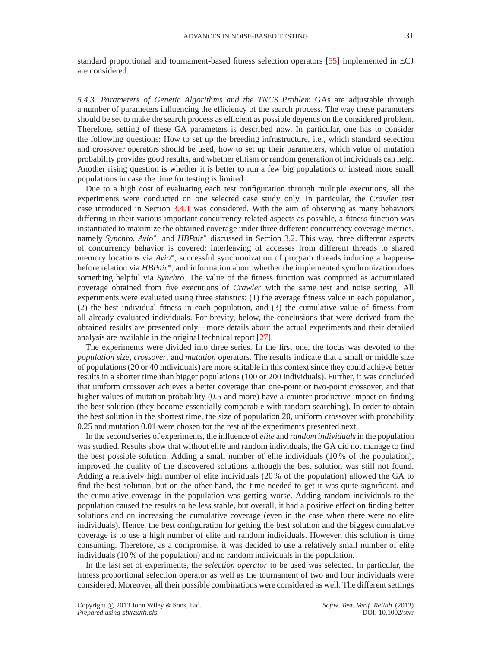standard proportional and tournament-based fitness selection operators [\[55\]](#page-37-15) implemented in ECJ are considered.

<span id="page-30-0"></span>*5.4.3. Parameters of Genetic Algorithms and the TNCS Problem* GAs are adjustable through a number of parameters influencing the efficiency of the search process. The way these parameters should be set to make the search process as efficient as possible depends on the considered problem. Therefore, setting of these GA parameters is described now. In particular, one has to consider the following questions: How to set up the breeding infrastructure, i.e., which standard selection and crossover operators should be used, how to set up their parameters, which value of mutation probability provides good results, and whether elitism or random generation of individuals can help. Another rising question is whether it is better to run a few big populations or instead more small populations in case the time for testing is limited.

Due to a high cost of evaluating each test configuration through multiple executions, all the experiments were conducted on one selected case study only. In particular, the *Crawler* test case introduced in Section [3.4.1](#page-9-0) was considered. With the aim of observing as many behaviors differing in their various important concurrency-related aspects as possible, a fitness function was instantiated to maximize the obtained coverage under three different concurrency coverage metrics, namely *Synchro*, *Avio*<sup>∗</sup>, and *HBPair*<sup>∗</sup> discussed in Section [3.2.](#page-6-0) This way, three different aspects of concurrency behavior is covered: interleaving of accesses from different threads to shared memory locations via *Avio*<sup>\*</sup>, successful synchronization of program threads inducing a happensbefore relation via *HBPair*<sup>∗</sup> , and information about whether the implemented synchronization does something helpful via *Synchro*. The value of the fitness function was computed as accumulated coverage obtained from five executions of *Crawler* with the same test and noise setting. All experiments were evaluated using three statistics: (1) the average fitness value in each population, (2) the best individual fitness in each population, and (3) the cumulative value of fitness from all already evaluated individuals. For brevity, below, the conclusions that were derived from the obtained results are presented only—more details about the actual experiments and their detailed analysis are available in the original technical report [\[27\]](#page-36-31).

The experiments were divided into three series. In the first one, the focus was devoted to the *population size*, *crossover*, and *mutation* operators. The results indicate that a small or middle size of populations (20 or 40 individuals) are more suitable in this context since they could achieve better results in a shorter time than bigger populations (100 or 200 individuals). Further, it was concluded that uniform crossover achieves a better coverage than one-point or two-point crossover, and that higher values of mutation probability (0.5 and more) have a counter-productive impact on finding the best solution (they become essentially comparable with random searching). In order to obtain the best solution in the shortest time, the size of population 20, uniform crossover with probability 0.25 and mutation 0.01 were chosen for the rest of the experiments presented next.

In the second series of experiments, the influence of *elite* and *random individuals*in the population was studied. Results show that without elite and random individuals, the GA did not manage to find the best possible solution. Adding a small number of elite individuals (10 % of the population), improved the quality of the discovered solutions although the best solution was still not found. Adding a relatively high number of elite individuals (20 % of the population) allowed the GA to find the best solution, but on the other hand, the time needed to get it was quite significant, and the cumulative coverage in the population was getting worse. Adding random individuals to the population caused the results to be less stable, but overall, it had a positive effect on finding better solutions and on increasing the cumulative coverage (even in the case when there were no elite individuals). Hence, the best configuration for getting the best solution and the biggest cumulative coverage is to use a high number of elite and random individuals. However, this solution is time consuming. Therefore, as a compromise, it was decided to use a relatively small number of elite individuals (10 % of the population) and no random individuals in the population.

In the last set of experiments, the *selection operator* to be used was selected. In particular, the fitness proportional selection operator as well as the tournament of two and four individuals were considered. Moreover, all their possible combinations were considered as well. The different settings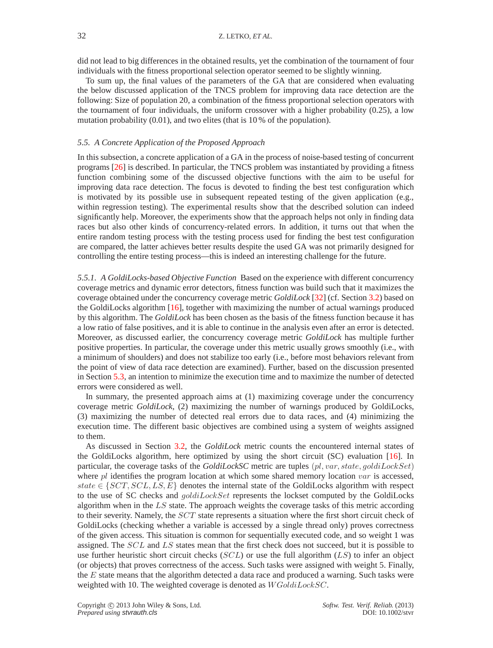did not lead to big differences in the obtained results, yet the combination of the tournament of four individuals with the fitness proportional selection operator seemed to be slightly winning.

To sum up, the final values of the parameters of the GA that are considered when evaluating the below discussed application of the TNCS problem for improving data race detection are the following: Size of population 20, a combination of the fitness proportional selection operators with the tournament of four individuals, the uniform crossover with a higher probability (0.25), a low mutation probability (0.01), and two elites (that is 10 % of the population).

# <span id="page-31-0"></span>*5.5. A Concrete Application of the Proposed Approach*

In this subsection, a concrete application of a GA in the process of noise-based testing of concurrent programs [\[26\]](#page-36-13) is described. In particular, the TNCS problem was instantiated by providing a fitness function combining some of the discussed objective functions with the aim to be useful for improving data race detection. The focus is devoted to finding the best test configuration which is motivated by its possible use in subsequent repeated testing of the given application (e.g., within regression testing). The experimental results show that the described solution can indeed significantly help. Moreover, the experiments show that the approach helps not only in finding data races but also other kinds of concurrency-related errors. In addition, it turns out that when the entire random testing process with the testing process used for finding the best test configuration are compared, the latter achieves better results despite the used GA was not primarily designed for controlling the entire testing process—this is indeed an interesting challenge for the future.

*5.5.1. A GoldiLocks-based Objective Function* Based on the experience with different concurrency coverage metrics and dynamic error detectors, fitness function was build such that it maximizes the coverage obtained under the concurrency coverage metric *GoldiLock* [\[32\]](#page-36-14) (cf. Section [3.2\)](#page-6-0) based on the GoldiLocks algorithm [\[16\]](#page-36-8), together with maximizing the number of actual warnings produced by this algorithm. The *GoldiLock* has been chosen as the basis of the fitness function because it has a low ratio of false positives, and it is able to continue in the analysis even after an error is detected. Moreover, as discussed earlier, the concurrency coverage metric *GoldiLock* has multiple further positive properties. In particular, the coverage under this metric usually grows smoothly (i.e., with a minimum of shoulders) and does not stabilize too early (i.e., before most behaviors relevant from the point of view of data race detection are examined). Further, based on the discussion presented in Section [5.3,](#page-28-0) an intention to minimize the execution time and to maximize the number of detected errors were considered as well.

In summary, the presented approach aims at (1) maximizing coverage under the concurrency coverage metric *GoldiLock*, (2) maximizing the number of warnings produced by GoldiLocks, (3) maximizing the number of detected real errors due to data races, and (4) minimizing the execution time. The different basic objectives are combined using a system of weights assigned to them.

As discussed in Section [3.2,](#page-6-0) the *GoldiLock* metric counts the encountered internal states of the GoldiLocks algorithm, here optimized by using the short circuit (SC) evaluation [\[16\]](#page-36-8). In particular, the coverage tasks of the *GoldiLockSC* metric are tuples (pl, var, state, goldiLockSet) where  $pl$  identifies the program location at which some shared memory location  $var$  is accessed, state  $\in \{SCT, SCL, LS, E\}$  denotes the internal state of the GoldiLocks algorithm with respect to the use of SC checks and goldiLockSet represents the lockset computed by the GoldiLocks algorithm when in the  $LS$  state. The approach weights the coverage tasks of this metric according to their severity. Namely, the SCT state represents a situation where the first short circuit check of GoldiLocks (checking whether a variable is accessed by a single thread only) proves correctness of the given access. This situation is common for sequentially executed code, and so weight 1 was assigned. The SCL and LS states mean that the first check does not succeed, but it is possible to use further heuristic short circuit checks ( $SCL$ ) or use the full algorithm ( $LS$ ) to infer an object (or objects) that proves correctness of the access. Such tasks were assigned with weight 5. Finally, the E state means that the algorithm detected a data race and produced a warning. Such tasks were weighted with 10. The weighted coverage is denoted as  $WGoldilockSC$ .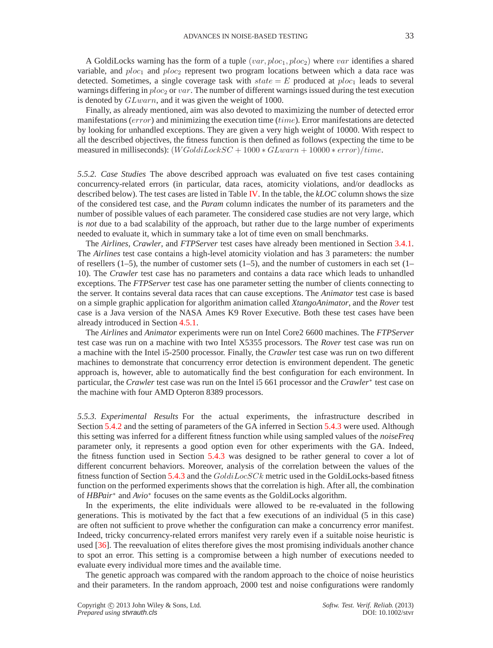A GoldiLocks warning has the form of a tuple  $(var, ploc_1, ploc_2)$  where var identifies a shared variable, and  $ploc_1$  and  $ploc_2$  represent two program locations between which a data race was detected. Sometimes, a single coverage task with  $state = E$  produced at  $ploc_1$  leads to several warnings differing in  $ploc_2$  or var. The number of different warnings issued during the test execution is denoted by GLwarn, and it was given the weight of 1000.

Finally, as already mentioned, aim was also devoted to maximizing the number of detected error manifestations ( $error$ ) and minimizing the execution time ( $time$ ). Error manifestations are detected by looking for unhandled exceptions. They are given a very high weight of 10000. With respect to all the described objectives, the fitness function is then defined as follows (expecting the time to be measured in milliseconds):  $(WGoldiLockSC + 1000 * GLwarn + 10000 * error)/time$ .

*5.5.2. Case Studies* The above described approach was evaluated on five test cases containing concurrency-related errors (in particular, data races, atomicity violations, and/or deadlocks as described below). The test cases are listed in Table [IV.](#page-33-0) In the table, the *kLOC* column shows the size of the considered test case, and the *Param* column indicates the number of its parameters and the number of possible values of each parameter. The considered case studies are not very large, which is *not* due to a bad scalability of the approach, but rather due to the large number of experiments needed to evaluate it, which in summary take a lot of time even on small benchmarks.

The *Airlines*, *Crawler*, and *FTPServer* test cases have already been mentioned in Section [3.4.1.](#page-9-0) The *Airlines* test case contains a high-level atomicity violation and has 3 parameters: the number of resellers  $(1-5)$ , the number of customer sets  $(1-5)$ , and the number of customers in each set  $(1-$ 10). The *Crawler* test case has no parameters and contains a data race which leads to unhandled exceptions. The *FTPServer* test case has one parameter setting the number of clients connecting to the server. It contains several data races that can cause exceptions. The *Animator* test case is based on a simple graphic application for algorithm animation called *XtangoAnimator*, and the *Rover* test case is a Java version of the NASA Ames K9 Rover Executive. Both these test cases have been already introduced in Section [4.5.1.](#page-20-1)

The *Airlines* and *Animator* experiments were run on Intel Core2 6600 machines. The *FTPServer* test case was run on a machine with two Intel X5355 processors. The *Rover* test case was run on a machine with the Intel i5-2500 processor. Finally, the *Crawler* test case was run on two different machines to demonstrate that concurrency error detection is environment dependent. The genetic approach is, however, able to automatically find the best configuration for each environment. In particular, the *Crawler* test case was run on the Intel i5 661 processor and the *Crawler*<sup>∗</sup> test case on the machine with four AMD Opteron 8389 processors.

*5.5.3. Experimental Results* For the actual experiments, the infrastructure described in Section [5.4.2](#page-29-0) and the setting of parameters of the GA inferred in Section [5.4.3](#page-30-0) were used. Although this setting was inferred for a different fitness function while using sampled values of the *noiseFreq* parameter only, it represents a good option even for other experiments with the GA. Indeed, the fitness function used in Section [5.4.3](#page-30-0) was designed to be rather general to cover a lot of different concurrent behaviors. Moreover, analysis of the correlation between the values of the fitness function of Section [5.4.3](#page-30-0) and the  $GoldLocSCk$  metric used in the GoldiLocks-based fitness function on the performed experiments shows that the correlation is high. After all, the combination of *HBPair*<sup>∗</sup> and *Avio*<sup>∗</sup> focuses on the same events as the GoldiLocks algorithm.

In the experiments, the elite individuals were allowed to be re-evaluated in the following generations. This is motivated by the fact that a few executions of an individual (5 in this case) are often not sufficient to prove whether the configuration can make a concurrency error manifest. Indeed, tricky concurrency-related errors manifest very rarely even if a suitable noise heuristic is used [\[36\]](#page-36-9). The reevaluation of elites therefore gives the most promising individuals another chance to spot an error. This setting is a compromise between a high number of executions needed to evaluate every individual more times and the available time.

The genetic approach was compared with the random approach to the choice of noise heuristics and their parameters. In the random approach, 2000 test and noise configurations were randomly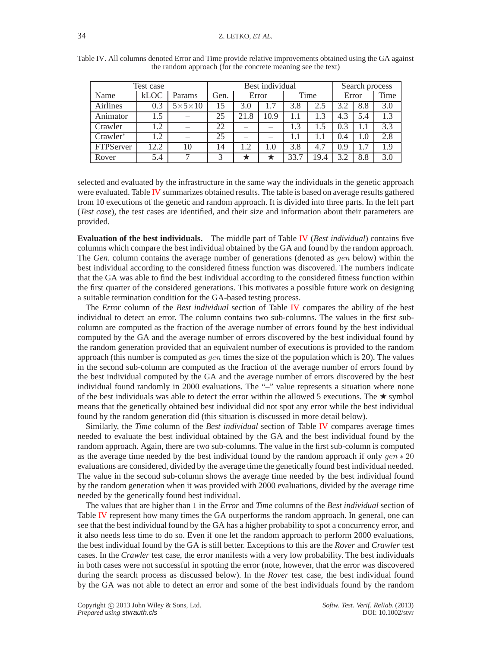| Test case        |      |                    | Best individual |            |       |     |      | Search process |           |      |
|------------------|------|--------------------|-----------------|------------|-------|-----|------|----------------|-----------|------|
| Name             | kLOC | Params             | Gen.            |            | Error |     | Time |                | Error     | Time |
| Airlines         | 0.3  | $5\times5\times10$ | 15              | 3.0        |       | 3.8 | 2.5  | 3.2            | 8.8       | 3.0  |
| Animator         | 1.5  |                    | 25              | .8<br>21   | 10.9  |     | 1.3  | 4.3            | 5.4       | 1.3  |
| Crawler          | 1.2  |                    | 22              | -          |       |     |      | 0.3            |           | 3.3  |
| Crawler*         | 1.2  |                    | 25              | -          |       |     |      | 0.4            | 1.0       | 2.8  |
| <b>FTPServer</b> | 12.2 | 10                 | 14              | $\cdot$ .2 | 1.O   | 3.8 | 4.7  | 0.9            | $\cdot$ 7 | 1.9  |
| Rover            | 5.4  |                    | 3               | ★          |       | 33. | 19.4 | 3.2            | 8.8       | 3.0  |

<span id="page-33-0"></span>Table IV. All columns denoted Error and Time provide relative improvements obtained using the GA against the random approach (for the concrete meaning see the text)

selected and evaluated by the infrastructure in the same way the individuals in the genetic approach were evaluated. Table [IV](#page-33-0) summarizes obtained results. The table is based on average results gathered from 10 executions of the genetic and random approach. It is divided into three parts. In the left part (*Test case*), the test cases are identified, and their size and information about their parameters are provided.

**Evaluation of the best individuals.** The middle part of Table [IV](#page-33-0) (*Best individual*) contains five columns which compare the best individual obtained by the GA and found by the random approach. The *Gen.* column contains the average number of generations (denoted as *gen* below) within the best individual according to the considered fitness function was discovered. The numbers indicate that the GA was able to find the best individual according to the considered fitness function within the first quarter of the considered generations. This motivates a possible future work on designing a suitable termination condition for the GA-based testing process.

The *Error* column of the *Best individual* section of Table [IV](#page-33-0) compares the ability of the best individual to detect an error. The column contains two sub-columns. The values in the first subcolumn are computed as the fraction of the average number of errors found by the best individual computed by the GA and the average number of errors discovered by the best individual found by the random generation provided that an equivalent number of executions is provided to the random approach (this number is computed as  $gen$  times the size of the population which is 20). The values in the second sub-column are computed as the fraction of the average number of errors found by the best individual computed by the GA and the average number of errors discovered by the best individual found randomly in 2000 evaluations. The "–" value represents a situation where none of the best individuals was able to detect the error within the allowed 5 executions. The  $\star$  symbol means that the genetically obtained best individual did not spot any error while the best individual found by the random generation did (this situation is discussed in more detail below).

Similarly, the *Time* column of the *Best individual* section of Table [IV](#page-33-0) compares average times needed to evaluate the best individual obtained by the GA and the best individual found by the random approach. Again, there are two sub-columns. The value in the first sub-column is computed as the average time needed by the best individual found by the random approach if only  $gen * 20$ evaluations are considered, divided by the average time the genetically found best individual needed. The value in the second sub-column shows the average time needed by the best individual found by the random generation when it was provided with 2000 evaluations, divided by the average time needed by the genetically found best individual.

The values that are higher than 1 in the *Error* and *Time* columns of the *Best individual* section of Table [IV](#page-33-0) represent how many times the GA outperforms the random approach. In general, one can see that the best individual found by the GA has a higher probability to spot a concurrency error, and it also needs less time to do so. Even if one let the random approach to perform 2000 evaluations, the best individual found by the GA is still better. Exceptions to this are the *Rover* and *Crawler* test cases. In the *Crawler* test case, the error manifests with a very low probability. The best individuals in both cases were not successful in spotting the error (note, however, that the error was discovered during the search process as discussed below). In the *Rover* test case, the best individual found by the GA was not able to detect an error and some of the best individuals found by the random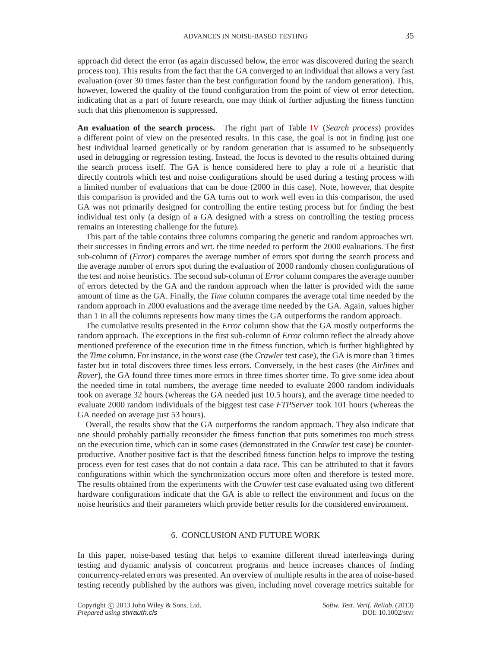approach did detect the error (as again discussed below, the error was discovered during the search process too). This results from the fact that the GA converged to an individual that allows a very fast evaluation (over 30 times faster than the best configuration found by the random generation). This, however, lowered the quality of the found configuration from the point of view of error detection, indicating that as a part of future research, one may think of further adjusting the fitness function such that this phenomenon is suppressed.

**An evaluation of the search process.** The right part of Table [IV](#page-33-0) (*Search process*) provides a different point of view on the presented results. In this case, the goal is not in finding just one best individual learned genetically or by random generation that is assumed to be subsequently used in debugging or regression testing. Instead, the focus is devoted to the results obtained during the search process itself. The GA is hence considered here to play a role of a heuristic that directly controls which test and noise configurations should be used during a testing process with a limited number of evaluations that can be done (2000 in this case). Note, however, that despite this comparison is provided and the GA turns out to work well even in this comparison, the used GA was not primarily designed for controlling the entire testing process but for finding the best individual test only (a design of a GA designed with a stress on controlling the testing process remains an interesting challenge for the future).

This part of the table contains three columns comparing the genetic and random approaches wrt. their successes in finding errors and wrt. the time needed to perform the 2000 evaluations. The first sub-column of (*Error*) compares the average number of errors spot during the search process and the average number of errors spot during the evaluation of 2000 randomly chosen configurations of the test and noise heuristics. The second sub-column of *Error* column compares the average number of errors detected by the GA and the random approach when the latter is provided with the same amount of time as the GA. Finally, the *Time* column compares the average total time needed by the random approach in 2000 evaluations and the average time needed by the GA. Again, values higher than 1 in all the columns represents how many times the GA outperforms the random approach.

The cumulative results presented in the *Error* column show that the GA mostly outperforms the random approach. The exceptions in the first sub-column of *Error* column reflect the already above mentioned preference of the execution time in the fitness function, which is further highlighted by the *Time* column. For instance, in the worst case (the *Crawler* test case), the GA is more than 3 times faster but in total discovers three times less errors. Conversely, in the best cases (the *Airlines* and *Rover*), the GA found three times more errors in three times shorter time. To give some idea about the needed time in total numbers, the average time needed to evaluate 2000 random individuals took on average 32 hours (whereas the GA needed just 10.5 hours), and the average time needed to evaluate 2000 random individuals of the biggest test case *FTPServer* took 101 hours (whereas the GA needed on average just 53 hours).

Overall, the results show that the GA outperforms the random approach. They also indicate that one should probably partially reconsider the fitness function that puts sometimes too much stress on the execution time, which can in some cases (demonstrated in the *Crawler* test case) be counterproductive. Another positive fact is that the described fitness function helps to improve the testing process even for test cases that do not contain a data race. This can be attributed to that it favors configurations within which the synchronization occurs more often and therefore is tested more. The results obtained from the experiments with the *Crawler* test case evaluated using two different hardware configurations indicate that the GA is able to reflect the environment and focus on the noise heuristics and their parameters which provide better results for the considered environment.

# 6. CONCLUSION AND FUTURE WORK

<span id="page-34-0"></span>In this paper, noise-based testing that helps to examine different thread interleavings during testing and dynamic analysis of concurrent programs and hence increases chances of finding concurrency-related errors was presented. An overview of multiple results in the area of noise-based testing recently published by the authors was given, including novel coverage metrics suitable for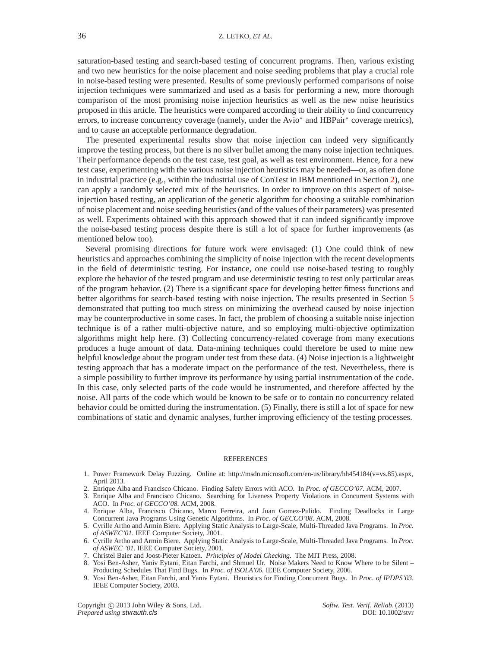saturation-based testing and search-based testing of concurrent programs. Then, various existing and two new heuristics for the noise placement and noise seeding problems that play a crucial role in noise-based testing were presented. Results of some previously performed comparisons of noise injection techniques were summarized and used as a basis for performing a new, more thorough comparison of the most promising noise injection heuristics as well as the new noise heuristics proposed in this article. The heuristics were compared according to their ability to find concurrency errors, to increase concurrency coverage (namely, under the Avio<sup>∗</sup> and HBPair<sup>∗</sup> coverage metrics), and to cause an acceptable performance degradation.

The presented experimental results show that noise injection can indeed very significantly improve the testing process, but there is no silver bullet among the many noise injection techniques. Their performance depends on the test case, test goal, as well as test environment. Hence, for a new test case, experimenting with the various noise injection heuristics may be needed—or, as often done in industrial practice (e.g., within the industrial use of ConTest in IBM mentioned in Section [2\)](#page-2-0), one can apply a randomly selected mix of the heuristics. In order to improve on this aspect of noiseinjection based testing, an application of the genetic algorithm for choosing a suitable combination of noise placement and noise seeding heuristics (and of the values of their parameters) was presented as well. Experiments obtained with this approach showed that it can indeed significantly improve the noise-based testing process despite there is still a lot of space for further improvements (as mentioned below too).

Several promising directions for future work were envisaged: (1) One could think of new heuristics and approaches combining the simplicity of noise injection with the recent developments in the field of deterministic testing. For instance, one could use noise-based testing to roughly explore the behavior of the tested program and use deterministic testing to test only particular areas of the program behavior. (2) There is a significant space for developing better fitness functions and better algorithms for search-based testing with noise injection. The results presented in Section [5](#page-25-0) demonstrated that putting too much stress on minimizing the overhead caused by noise injection may be counterproductive in some cases. In fact, the problem of choosing a suitable noise injection technique is of a rather multi-objective nature, and so employing multi-objective optimization algorithms might help here. (3) Collecting concurrency-related coverage from many executions produces a huge amount of data. Data-mining techniques could therefore be used to mine new helpful knowledge about the program under test from these data. (4) Noise injection is a lightweight testing approach that has a moderate impact on the performance of the test. Nevertheless, there is a simple possibility to further improve its performance by using partial instrumentation of the code. In this case, only selected parts of the code would be instrumented, and therefore affected by the noise. All parts of the code which would be known to be safe or to contain no concurrency related behavior could be omitted during the instrumentation. (5) Finally, there is still a lot of space for new combinations of static and dynamic analyses, further improving efficiency of the testing processes.

#### **REFERENCES**

- <span id="page-35-3"></span>1. Power Framework Delay Fuzzing. Online at: http://msdn.microsoft.com/en-us/library/hh454184(v=vs.85).aspx, April 2013.
- <span id="page-35-7"></span><span id="page-35-6"></span>2. Enrique Alba and Francisco Chicano. Finding Safety Errors with ACO. In *Proc. of GECCO'07*. ACM, 2007.
- 3. Enrique Alba and Francisco Chicano. Searching for Liveness Property Violations in Concurrent Systems with ACO. In *Proc. of GECCO'08*. ACM, 2008.
- <span id="page-35-5"></span>4. Enrique Alba, Francisco Chicano, Marco Ferreira, and Juan Gomez-Pulido. Finding Deadlocks in Large Concurrent Java Programs Using Genetic Algorithms. In *Proc. of GECCO'08*. ACM, 2008.
- <span id="page-35-1"></span>5. Cyrille Artho and Armin Biere. Applying Static Analysis to Large-Scale, Multi-Threaded Java Programs. In *Proc. of ASWEC'01*. IEEE Computer Society, 2001.
- <span id="page-35-2"></span>6. Cyrille Artho and Armin Biere. Applying Static Analysis to Large-Scale, Multi-Threaded Java Programs. In *Proc. of ASWEC '01*. IEEE Computer Society, 2001.
- <span id="page-35-8"></span><span id="page-35-0"></span>7. Christel Baier and Joost-Pieter Katoen. *Principles of Model Checking*. The MIT Press, 2008.
- 8. Yosi Ben-Asher, Yaniv Eytani, Eitan Farchi, and Shmuel Ur. Noise Makers Need to Know Where to be Silent Producing Schedules That Find Bugs. In *Proc. of ISOLA'06*. IEEE Computer Society, 2006.
- <span id="page-35-4"></span>9. Yosi Ben-Asher, Eitan Farchi, and Yaniv Eytani. Heuristics for Finding Concurrent Bugs. In *Proc. of IPDPS'03*. IEEE Computer Society, 2003.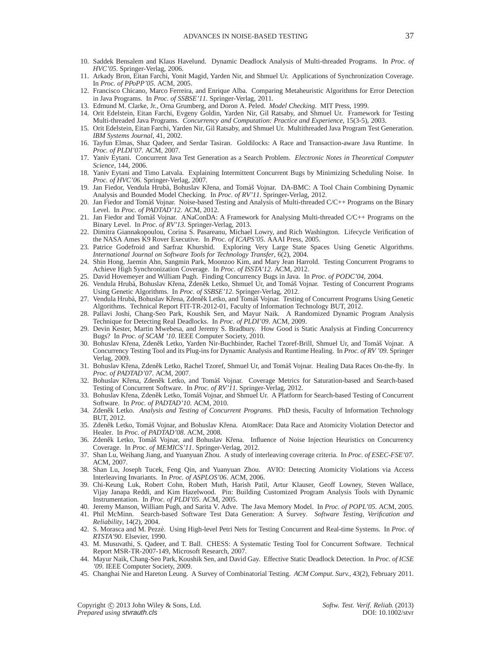- <span id="page-36-7"></span>10. Saddek Bensalem and Klaus Havelund. Dynamic Deadlock Analysis of Multi-threaded Programs. In *Proc. of HVC'05*. Springer-Verlag, 2006.
- <span id="page-36-10"></span>11. Arkady Bron, Eitan Farchi, Yonit Magid, Yarden Nir, and Shmuel Ur. Applications of Synchronization Coverage. In *Proc. of PPoPP'05*. ACM, 2005.
- <span id="page-36-33"></span>12. Francisco Chicano, Marco Ferreira, and Enrique Alba. Comparing Metaheuristic Algorithms for Error Detection in Java Programs. In *Proc. of SSBSE'11*. Springer-Verlag, 2011.
- <span id="page-36-4"></span><span id="page-36-0"></span>13. Edmund M. Clarke, Jr., Orna Grumberg, and Doron A. Peled. *Model Checking*. MIT Press, 1999.
- 14. Orit Edelstein, Eitan Farchi, Evgeny Goldin, Yarden Nir, Gil Ratsaby, and Shmuel Ur. Framework for Testing Multi-threaded Java Programs. *Concurrency and Computation: Practice and Experience*, 15(3-5), 2003.
- <span id="page-36-25"></span>15. Orit Edelstein, Eitan Farchi, Yarden Nir, Gil Ratsaby, and Shmuel Ur. Multithreaded Java Program Test Generation. *IBM Systems Journal*, 41, 2002.
- <span id="page-36-8"></span>16. Tayfun Elmas, Shaz Qadeer, and Serdar Tasiran. Goldilocks: A Race and Transaction-aware Java Runtime. In *Proc. of PLDI'07*. ACM, 2007.
- <span id="page-36-34"></span>17. Yaniv Eytani. Concurrent Java Test Generation as a Search Problem. *Electronic Notes in Theoretical Computer Science*, 144, 2006.
- <span id="page-36-26"></span>18. Yaniv Eytani and Timo Latvala. Explaining Intermittent Concurrent Bugs by Minimizing Scheduling Noise. In Proc. of HVC'06. Springer-Verlag, 2007.
- <span id="page-36-19"></span>19. Jan Fiedor, Vendula Hrubá, Bohuslav Křena, and Tomáš Vojnar. DA-BMC: A Tool Chain Combining Dynamic Analysis and Bounded Model Checking. In *Proc. of RV'11*. Springer-Verlag, 2012.
- <span id="page-36-11"></span>20. Jan Fiedor and Tomáš Vojnar. Noise-based Testing and Analysis of Multi-threaded C/C++ Programs on the Binary Level. In *Proc. of PADTAD'12*. ACM, 2012.
- <span id="page-36-12"></span>21. Jan Fiedor and Tomáš Vojnar. ANaConDA: A Framework for Analysing Multi-threaded C/C++ Programs on the Binary Level. In *Proc. of RV'13*. Springer-Verlag, 2013.
- <span id="page-36-30"></span>22. Dimitra Giannakopoulou, Corina S. Pasareanu, Michael Lowry, and Rich Washington. Lifecycle Verification of the NASA Ames K9 Rover Executive. In *Proc. of ICAPS'05*. AAAI Press, 2005.
- <span id="page-36-32"></span>23. Patrice Godefroid and Sarfraz Khurshid. Exploring Very Large State Spaces Using Genetic Algorithms. *International Journal on Software Tools for Technology Transfer*, 6(2), 2004.
- <span id="page-36-5"></span>24. Shin Hong, Jaemin Ahn, Sangmin Park, Moonzoo Kim, and Mary Jean Harrold. Testing Concurrent Programs to Achieve High Synchronization Coverage. In *Proc. of ISSTA'12*. ACM, 2012.
- <span id="page-36-13"></span><span id="page-36-1"></span>25. David Hovemeyer and William Pugh. Finding Concurrency Bugs in Java. In *Proc. of PODC'04*, 2004.
- 26. Vendula Hrubá, Bohuslav Křena, Ždeněk Letko, Shmuel Úr, and Tomáš Vojnar. Testing of Concurrent Programs Using Genetic Algorithms. In *Proc. of SSBSE'12*. Springer-Verlag, 2012.
- <span id="page-36-31"></span>27. Vendula Hrubá, Bohuslav Křena, Zdeněk Letko, and Tomáš Vojnar. Testing of Concurrent Programs Using Genetic Algorithms. Technical Report FIT-TR-2012-01, Faculty of Information Technology BUT, 2012.
- <span id="page-36-18"></span>28. Pallavi Joshi, Chang-Seo Park, Koushik Sen, and Mayur Naik. A Randomized Dynamic Program Analysis Technique for Detecting Real Deadlocks. In *Proc. of PLDI'09*. ACM, 2009.
- <span id="page-36-2"></span>29. Devin Kester, Martin Mwebesa, and Jeremy S. Bradbury. How Good is Static Analysis at Finding Concurrency Bugs? In *Proc. of SCAM '10*. IEEE Computer Society, 2010.
- <span id="page-36-22"></span>30. Bohuslav Křena, Zdeněk Letko, Yarden Nir-Buchbinder, Rachel Tzoref-Brill, Shmuel Ur, and Tomáš Vojnar. A Concurrency Testing Tool and its Plug-ins for Dynamic Analysis and Runtime Healing. In *Proc. of RV '09*. Springer Verlag, 2009.
- <span id="page-36-27"></span>31. Bohuslav Křena, Zdeněk Letko, Rachel Tzoref, Shmuel Ur, and Tomáš Vojnar. Healing Data Races On-the-fly. In *Proc. of PADTAD'07*. ACM, 2007.
- <span id="page-36-14"></span>32. Bohuslav Křena, Zdeněk Letko, and Tomáš Vojnar. Coverage Metrics for Saturation-based and Search-based Testing of Concurrent Software. In *Proc. of RV'11*. Springer-Verlag, 2012.
- <span id="page-36-15"></span>33. Bohuslav Křena, Zdeněk Letko, Tomáš Vojnar, and Shmuel Ur. A Platform for Search-based Testing of Concurrent Software. In *Proc. of PADTAD'10*. ACM, 2010.
- <span id="page-36-16"></span>34. Zdeněk Letko. *Analysis and Testing of Concurrent Programs*. PhD thesis, Faculty of Information Technology BUT, 2012.
- <span id="page-36-29"></span>35. Zdeněk Letko, Tomáš Vojnar, and Bohuslav Křena. AtomRace: Data Race and Atomicity Violation Detector and Healer. In *Proc. of PADTAD'08*. ACM, 2008.
- <span id="page-36-9"></span>36. Zdeněk Letko, Tomáš Vojnar, and Bohuslav Křena. Influence of Noise Injection Heuristics on Concurrency Coverage. In *Proc. of MEMICS'11*. Springer-Verlag, 2012.
- <span id="page-36-21"></span>37. Shan Lu, Weihang Jiang, and Yuanyuan Zhou. A study of interleaving coverage criteria. In *Proc. of ESEC-FSE'07*. ACM, 2007.
- <span id="page-36-17"></span>38. Shan Lu, Joseph Tucek, Feng Qin, and Yuanyuan Zhou. AVIO: Detecting Atomicity Violations via Access Interleaving Invariants. In *Proc. of ASPLOS'06*. ACM, 2006.
- <span id="page-36-28"></span>39. Chi-Keung Luk, Robert Cohn, Robert Muth, Harish Patil, Artur Klauser, Geoff Lowney, Steven Wallace, Vijay Janapa Reddi, and Kim Hazelwood. Pin: Building Customized Program Analysis Tools with Dynamic Instrumentation. In *Proc. of PLDI'05*. ACM, 2005.
- <span id="page-36-24"></span><span id="page-36-23"></span>40. Jeremy Manson, William Pugh, and Sarita V. Adve. The Java Memory Model. In *Proc. of POPL'05*. ACM, 2005.
- 41. Phil McMinn. Search-based Software Test Data Generation: A Survey. *Software Testing, Verification and Reliability*, 14(2), 2004.
- <span id="page-36-20"></span>42. S. Morasca and M. Pezzè. Using High-level Petri Nets for Testing Concurrent and Real-time Systems. In *Proc. of RTSTA'90*. Elsevier, 1990.
- <span id="page-36-6"></span>43. M. Musuvathi, S. Qadeer, and T. Ball. CHESS: A Systematic Testing Tool for Concurrent Software. Technical Report MSR-TR-2007-149, Microsoft Research, 2007.
- <span id="page-36-3"></span>44. Mayur Naik, Chang-Seo Park, Koushik Sen, and David Gay. Effective Static Deadlock Detection. In *Proc. of ICSE '09*. IEEE Computer Society, 2009.
- <span id="page-36-35"></span>45. Changhai Nie and Hareton Leung. A Survey of Combinatorial Testing. *ACM Comput. Surv.*, 43(2), February 2011.